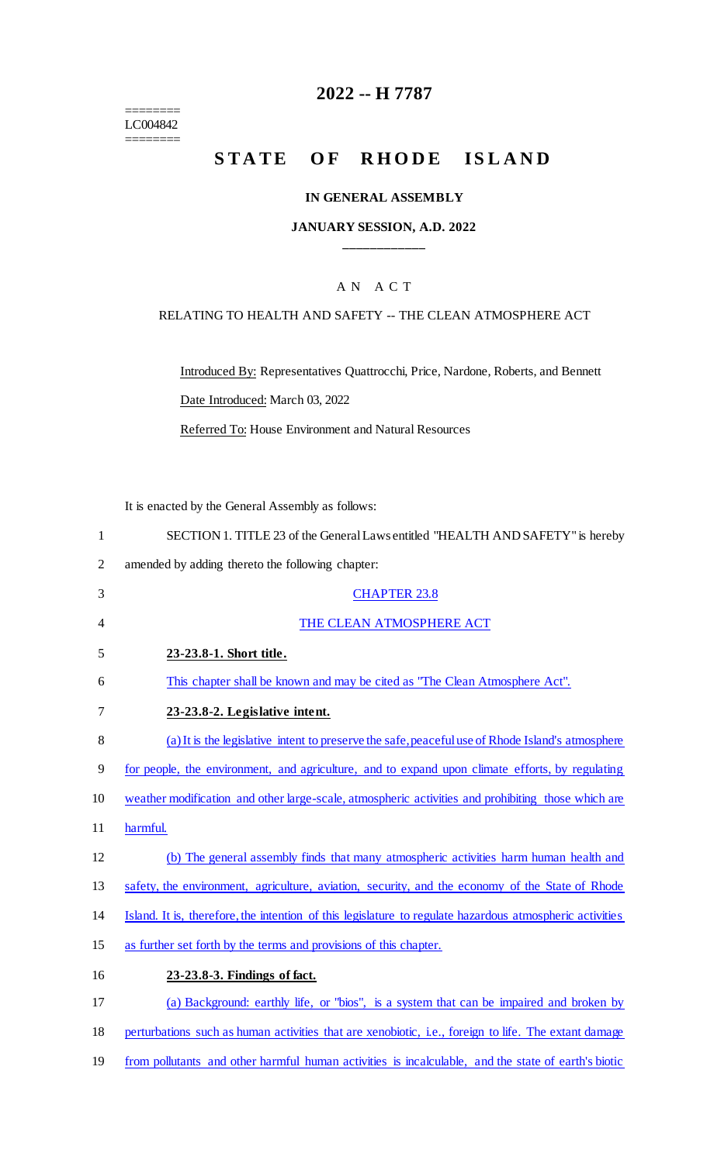$=$ LC004842 ========

## **2022 -- H 7787**

# **STATE OF RHODE ISLAND**

#### **IN GENERAL ASSEMBLY**

#### **JANUARY SESSION, A.D. 2022 \_\_\_\_\_\_\_\_\_\_\_\_**

## A N A C T

#### RELATING TO HEALTH AND SAFETY -- THE CLEAN ATMOSPHERE ACT

Introduced By: Representatives Quattrocchi, Price, Nardone, Roberts, and Bennett

Date Introduced: March 03, 2022

Referred To: House Environment and Natural Resources

It is enacted by the General Assembly as follows:

| $\mathbf{1}$   | SECTION 1. TITLE 23 of the General Laws entitled "HEALTH AND SAFETY" is hereby                           |
|----------------|----------------------------------------------------------------------------------------------------------|
| $\overline{2}$ | amended by adding thereto the following chapter:                                                         |
| 3              | <b>CHAPTER 23.8</b>                                                                                      |
| $\overline{4}$ | THE CLEAN ATMOSPHERE ACT                                                                                 |
| 5              | 23-23.8-1. Short title.                                                                                  |
| 6              | This chapter shall be known and may be cited as "The Clean Atmosphere Act".                              |
| 7              | 23-23.8-2. Legislative intent.                                                                           |
| 8              | (a) It is the legislative intent to preserve the safe, peaceful use of Rhode Island's atmosphere         |
| 9              | for people, the environment, and agriculture, and to expand upon climate efforts, by regulating          |
| 10             | weather modification and other large-scale, atmospheric activities and prohibiting those which are       |
| 11             | harmful.                                                                                                 |
| 12             | (b) The general assembly finds that many atmospheric activities harm human health and                    |
| 13             | safety, the environment, agriculture, aviation, security, and the economy of the State of Rhode          |
| 14             | Island. It is, therefore, the intention of this legislature to regulate hazardous atmospheric activities |
| 15             | as further set forth by the terms and provisions of this chapter.                                        |
| 16             | 23-23.8-3. Findings of fact.                                                                             |
| 17             | (a) Background: earthly life, or "bios", is a system that can be impaired and broken by                  |
| 18             | perturbations such as human activities that are xenobiotic, i.e., foreign to life. The extant damage     |
|                |                                                                                                          |

19 from pollutants and other harmful human activities is incalculable, and the state of earth's biotic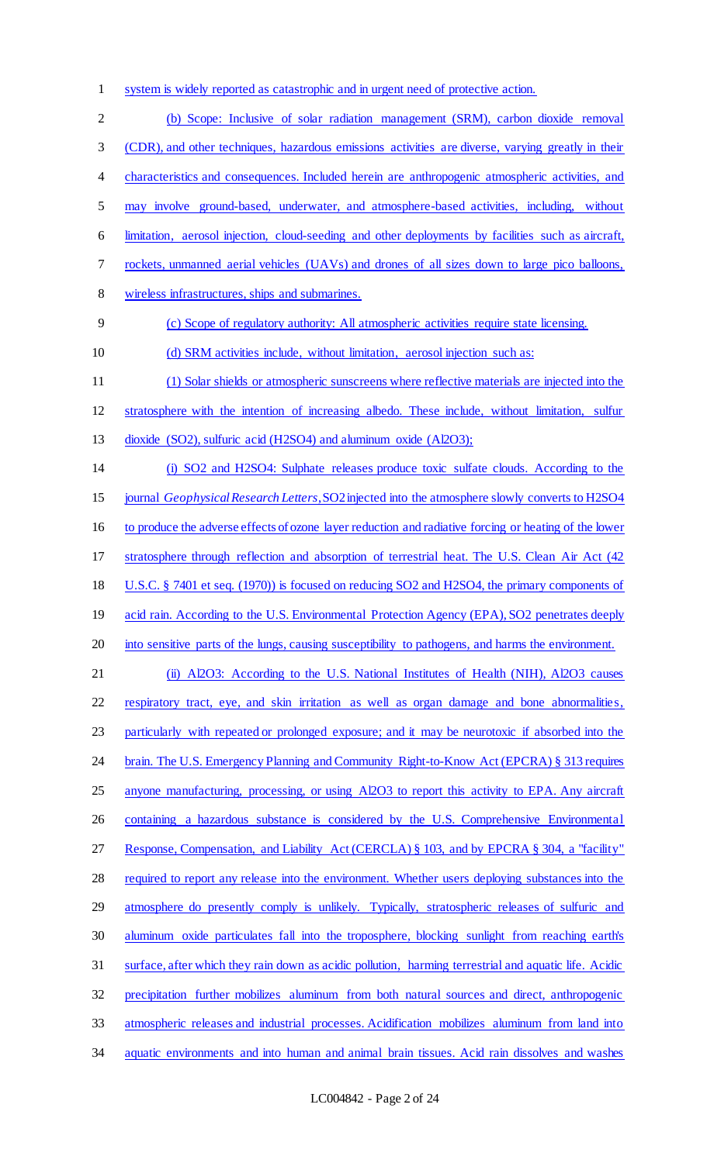system is widely reported as catastrophic and in urgent need of protective action.

 (b) Scope: Inclusive of solar radiation management (SRM), carbon dioxide removal (CDR), and other techniques, hazardous emissions activities are diverse, varying greatly in their characteristics and consequences. Included herein are anthropogenic atmospheric activities, and may involve ground-based, underwater, and atmosphere-based activities, including, without limitation, aerosol injection, cloud-seeding and other deployments by facilities such as aircraft, rockets, unmanned aerial vehicles (UAVs) and drones of all sizes down to large pico balloons, wireless infrastructures, ships and submarines. (c) Scope of regulatory authority: All atmospheric activities require state licensing. 10 (d) SRM activities include, without limitation, aerosol injection such as: (1) Solar shields or atmospheric sunscreens where reflective materials are injected into the stratosphere with the intention of increasing albedo. These include, without limitation, sulfur 13 dioxide (SO2), sulfuric acid (H2SO4) and aluminum oxide (Al2O3); (i) SO2 and H2SO4: Sulphate releases produce toxic sulfate clouds. According to the journal *Geophysical Research Letters*, SO2 injected into the atmosphere slowly converts to H2SO4 to produce the adverse effects of ozone layer reduction and radiative forcing or heating of the lower stratosphere through reflection and absorption of terrestrial heat. The U.S. Clean Air Act (42 U.S.C. § 7401 et seq. (1970)) is focused on reducing SO2 and H2SO4, the primary components of 19 acid rain. According to the U.S. Environmental Protection Agency (EPA), SO2 penetrates deeply into sensitive parts of the lungs, causing susceptibility to pathogens, and harms the environment. (ii) Al2O3: According to the U.S. National Institutes of Health (NIH), Al2O3 causes respiratory tract, eye, and skin irritation as well as organ damage and bone abnormalities, particularly with repeated or prolonged exposure; and it may be neurotoxic if absorbed into the 24 brain. The U.S. Emergency Planning and Community Right-to-Know Act (EPCRA) § 313 requires 25 anyone manufacturing, processing, or using Al2O3 to report this activity to EPA. Any aircraft 26 containing a hazardous substance is considered by the U.S. Comprehensive Environmental Response, Compensation, and Liability Act (CERCLA) § 103, and by EPCRA § 304, a "facility" required to report any release into the environment. Whether users deploying substances into the 29 atmosphere do presently comply is unlikely. Typically, stratospheric releases of sulfuric and aluminum oxide particulates fall into the troposphere, blocking sunlight from reaching earth's surface, after which they rain down as acidic pollution, harming terrestrial and aquatic life. Acidic precipitation further mobilizes aluminum from both natural sources and direct, anthropogenic atmospheric releases and industrial processes. Acidification mobilizes aluminum from land into aquatic environments and into human and animal brain tissues. Acid rain dissolves and washes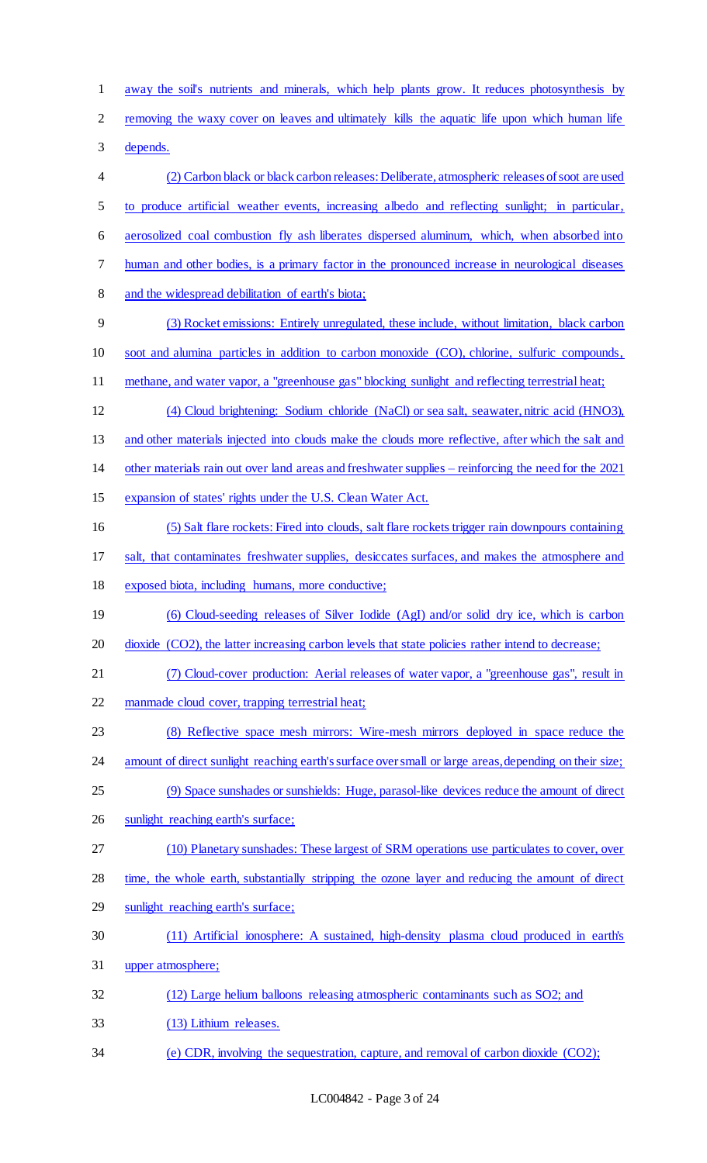away the soil's nutrients and minerals, which help plants grow. It reduces photosynthesis by removing the waxy cover on leaves and ultimately kills the aquatic life upon which human life depends. (2) Carbon black or black carbon releases: Deliberate, atmospheric releases of soot are used to produce artificial weather events, increasing albedo and reflecting sunlight; in particular, aerosolized coal combustion fly ash liberates dispersed aluminum, which, when absorbed into human and other bodies, is a primary factor in the pronounced increase in neurological diseases and the widespread debilitation of earth's biota; (3) Rocket emissions: Entirely unregulated, these include, without limitation, black carbon soot and alumina particles in addition to carbon monoxide (CO), chlorine, sulfuric compounds, methane, and water vapor, a "greenhouse gas" blocking sunlight and reflecting terrestrial heat; (4) Cloud brightening: Sodium chloride (NaCl) or sea salt, seawater, nitric acid (HNO3), and other materials injected into clouds make the clouds more reflective, after which the salt and other materials rain out over land areas and freshwater supplies – reinforcing the need for the 2021 expansion of states' rights under the U.S. Clean Water Act. (5) Salt flare rockets: Fired into clouds, salt flare rockets trigger rain downpours containing salt, that contaminates freshwater supplies, desiccates surfaces, and makes the atmosphere and exposed biota, including humans, more conductive; (6) Cloud-seeding releases of Silver Iodide (AgI) and/or solid dry ice, which is carbon 20 dioxide (CO2), the latter increasing carbon levels that state policies rather intend to decrease; (7) Cloud-cover production: Aerial releases of water vapor, a "greenhouse gas", result in manmade cloud cover, trapping terrestrial heat; (8) Reflective space mesh mirrors: Wire-mesh mirrors deployed in space reduce the 24 amount of direct sunlight reaching earth's surface over small or large areas, depending on their size; (9) Space sunshades or sunshields: Huge, parasol-like devices reduce the amount of direct 26 sunlight reaching earth's surface; (10) Planetary sunshades: These largest of SRM operations use particulates to cover, over 28 time, the whole earth, substantially stripping the ozone layer and reducing the amount of direct sunlight reaching earth's surface; (11) Artificial ionosphere: A sustained, high-density plasma cloud produced in earth's upper atmosphere; (12) Large helium balloons releasing atmospheric contaminants such as SO2; and (13) Lithium releases. (e) CDR, involving the sequestration, capture, and removal of carbon dioxide (CO2);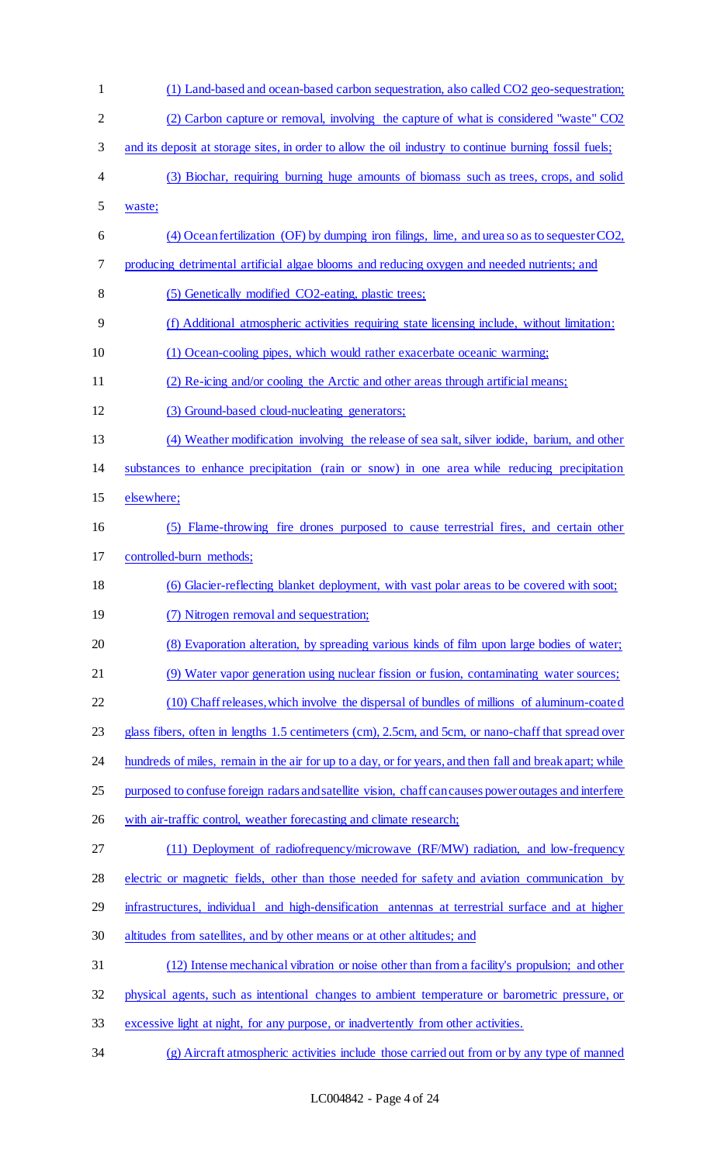| $\mathbf{1}$ | (1) Land-based and ocean-based carbon sequestration, also called CO2 geo-sequestration;                  |
|--------------|----------------------------------------------------------------------------------------------------------|
| $\mathbf{2}$ | (2) Carbon capture or removal, involving the capture of what is considered "waste" CO2                   |
| 3            | and its deposit at storage sites, in order to allow the oil industry to continue burning fossil fuels;   |
| 4            | (3) Biochar, requiring burning huge amounts of biomass such as trees, crops, and solid                   |
| 5            | waste;                                                                                                   |
| 6            | (4) Ocean fertilization (OF) by dumping iron filings, lime, and urea so as to sequester CO2,             |
| 7            | producing detrimental artificial algae blooms and reducing oxygen and needed nutrients; and              |
| 8            | (5) Genetically modified CO2-eating, plastic trees;                                                      |
| 9            | (f) Additional atmospheric activities requiring state licensing include, without limitation:             |
| 10           | (1) Ocean-cooling pipes, which would rather exacerbate oceanic warming;                                  |
| 11           | (2) Re-icing and/or cooling the Arctic and other areas through artificial means;                         |
| 12           | (3) Ground-based cloud-nucleating generators;                                                            |
| 13           | (4) Weather modification involving the release of sea salt, silver iodide, barium, and other             |
| 14           | substances to enhance precipitation (rain or snow) in one area while reducing precipitation              |
| 15           | elsewhere;                                                                                               |
| 16           | (5) Flame-throwing fire drones purposed to cause terrestrial fires, and certain other                    |
| 17           | controlled-burn methods;                                                                                 |
| 18           | (6) Glacier-reflecting blanket deployment, with vast polar areas to be covered with soot;                |
| 19           | (7) Nitrogen removal and sequestration;                                                                  |
| 20           | (8) Evaporation alteration, by spreading various kinds of film upon large bodies of water;               |
| 21           | (9) Water vapor generation using nuclear fission or fusion, contaminating water sources;                 |
| 22           | (10) Chaff releases, which involve the dispersal of bundles of millions of aluminum-coated               |
| 23           | glass fibers, often in lengths 1.5 centimeters (cm), 2.5cm, and 5cm, or nano-chaff that spread over      |
| 24           | hundreds of miles, remain in the air for up to a day, or for years, and then fall and break apart; while |
| 25           | purposed to confuse foreign radars and satellite vision, chaff can causes power outages and interfere    |
| 26           | with air-traffic control, weather forecasting and climate research;                                      |
| 27           | (11) Deployment of radiofrequency/microwave (RF/MW) radiation, and low-frequency                         |
| 28           | electric or magnetic fields, other than those needed for safety and aviation communication by            |
| 29           | infrastructures, individual and high-densification antennas at terrestrial surface and at higher         |
| 30           | altitudes from satellites, and by other means or at other altitudes; and                                 |
| 31           | (12) Intense mechanical vibration or noise other than from a facility's propulsion; and other            |
| 32           | physical agents, such as intentional changes to ambient temperature or barometric pressure, or           |
| 33           | excessive light at night, for any purpose, or inadvertently from other activities.                       |
| 34           | (g) Aircraft atmospheric activities include those carried out from or by any type of manned              |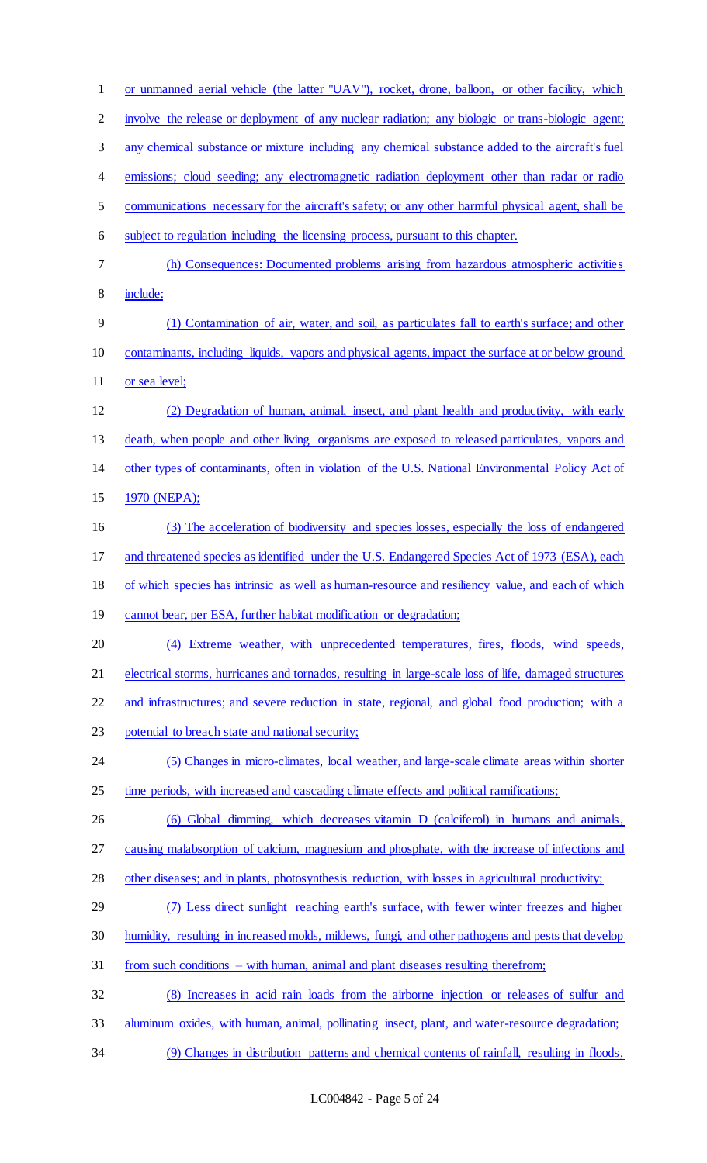or unmanned aerial vehicle (the latter "UAV"), rocket, drone, balloon, or other facility, which 2 involve the release or deployment of any nuclear radiation; any biologic or trans-biologic agent; any chemical substance or mixture including any chemical substance added to the aircraft's fuel 4 emissions; cloud seeding; any electromagnetic radiation deployment other than radar or radio communications necessary for the aircraft's safety; or any other harmful physical agent, shall be subject to regulation including the licensing process, pursuant to this chapter. (h) Consequences: Documented problems arising from hazardous atmospheric activities include: (1) Contamination of air, water, and soil, as particulates fall to earth's surface; and other contaminants, including liquids, vapors and physical agents, impact the surface at or below ground 11 or sea level; (2) Degradation of human, animal, insect, and plant health and productivity, with early death, when people and other living organisms are exposed to released particulates, vapors and other types of contaminants, often in violation of the U.S. National Environmental Policy Act of 1970 (NEPA); (3) The acceleration of biodiversity and species losses, especially the loss of endangered and threatened species as identified under the U.S. Endangered Species Act of 1973 (ESA), each of which species has intrinsic as well as human-resource and resiliency value, and each of which 19 cannot bear, per ESA, further habitat modification or degradation; (4) Extreme weather, with unprecedented temperatures, fires, floods, wind speeds, electrical storms, hurricanes and tornados, resulting in large-scale loss of life, damaged structures and infrastructures; and severe reduction in state, regional, and global food production; with a potential to breach state and national security; (5) Changes in micro-climates, local weather, and large-scale climate areas within shorter 25 time periods, with increased and cascading climate effects and political ramifications; (6) Global dimming, which decreases vitamin D (calciferol) in humans and animals, causing malabsorption of calcium, magnesium and phosphate, with the increase of infections and other diseases; and in plants, photosynthesis reduction, with losses in agricultural productivity; (7) Less direct sunlight reaching earth's surface, with fewer winter freezes and higher humidity, resulting in increased molds, mildews, fungi, and other pathogens and pests that develop from such conditions – with human, animal and plant diseases resulting therefrom; (8) Increases in acid rain loads from the airborne injection or releases of sulfur and aluminum oxides, with human, animal, pollinating insect, plant, and water-resource degradation; (9) Changes in distribution patterns and chemical contents of rainfall, resulting in floods,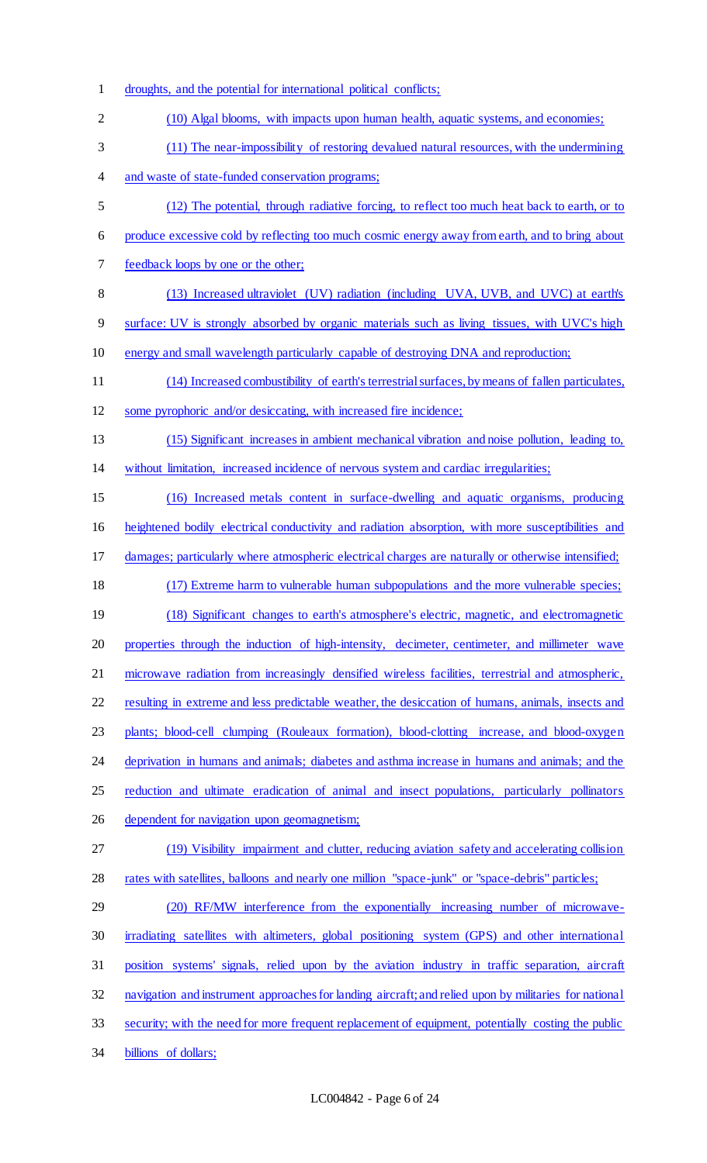droughts, and the potential for international political conflicts; (10) Algal blooms, with impacts upon human health, aquatic systems, and economies; (11) The near-impossibility of restoring devalued natural resources, with the undermining 4 and waste of state-funded conservation programs; (12) The potential, through radiative forcing, to reflect too much heat back to earth, or to produce excessive cold by reflecting too much cosmic energy away from earth, and to bring about feedback loops by one or the other; (13) Increased ultraviolet (UV) radiation (including UVA, UVB, and UVC) at earth's surface: UV is strongly absorbed by organic materials such as living tissues, with UVC's high energy and small wavelength particularly capable of destroying DNA and reproduction; (14) Increased combustibility of earth's terrestrial surfaces, by means of fallen particulates, 12 some pyrophoric and/or desiccating, with increased fire incidence; (15) Significant increases in ambient mechanical vibration and noise pollution, leading to, without limitation, increased incidence of nervous system and cardiac irregularities; (16) Increased metals content in surface-dwelling and aquatic organisms, producing heightened bodily electrical conductivity and radiation absorption, with more susceptibilities and damages; particularly where atmospheric electrical charges are naturally or otherwise intensified; (17) Extreme harm to vulnerable human subpopulations and the more vulnerable species; 19 (18) Significant changes to earth's atmosphere's electric, magnetic, and electromagnetic properties through the induction of high-intensity, decimeter, centimeter, and millimeter wave microwave radiation from increasingly densified wireless facilities, terrestrial and atmospheric, resulting in extreme and less predictable weather, the desiccation of humans, animals, insects and plants; blood-cell clumping (Rouleaux formation), blood-clotting increase, and blood-oxygen 24 deprivation in humans and animals; diabetes and asthma increase in humans and animals; and the 25 reduction and ultimate eradication of animal and insect populations, particularly pollinators 26 dependent for navigation upon geomagnetism; (19) Visibility impairment and clutter, reducing aviation safety and accelerating collision 28 rates with satellites, balloons and nearly one million "space-junk" or "space-debris" particles; (20) RF/MW interference from the exponentially increasing number of microwave- irradiating satellites with altimeters, global positioning system (GPS) and other international position systems' signals, relied upon by the aviation industry in traffic separation, aircraft navigation and instrument approaches for landing aircraft; and relied upon by militaries for national security; with the need for more frequent replacement of equipment, potentially costing the public billions of dollars;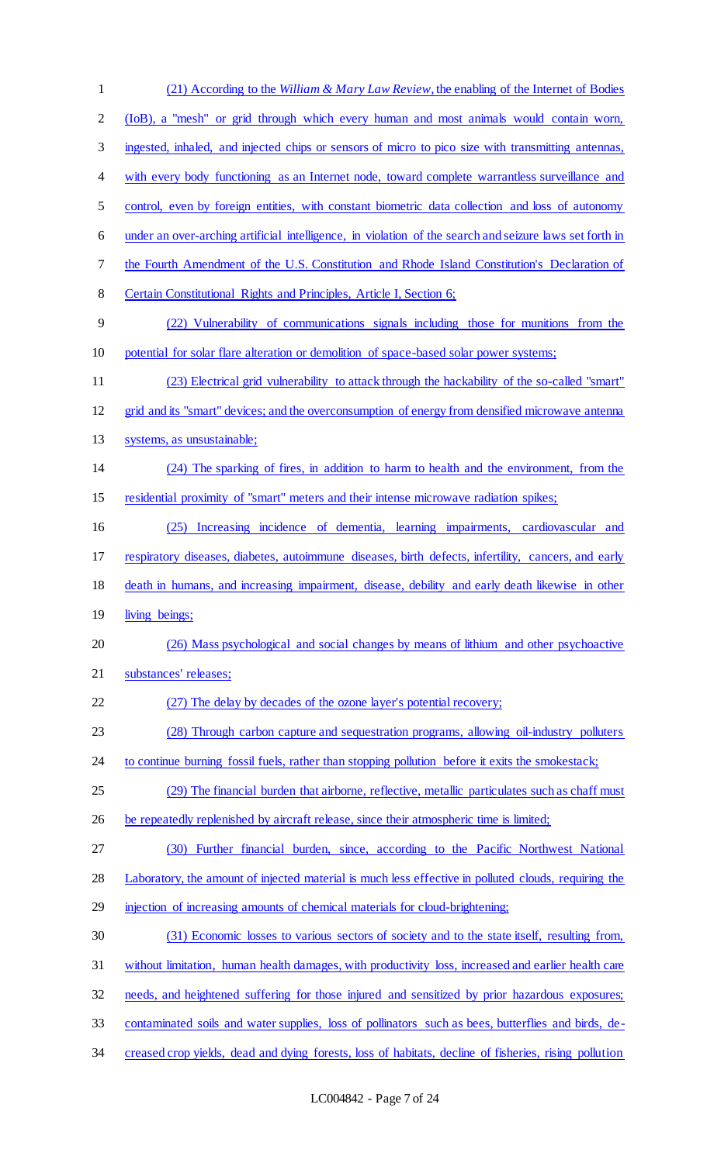(21) According to the *William & Mary Law Review*, the enabling of the Internet of Bodies (IoB), a "mesh" or grid through which every human and most animals would contain worn, ingested, inhaled, and injected chips or sensors of micro to pico size with transmitting antennas, 4 with every body functioning as an Internet node, toward complete warrantless surveillance and control, even by foreign entities, with constant biometric data collection and loss of autonomy under an over-arching artificial intelligence, in violation of the search and seizure laws set forth in the Fourth Amendment of the U.S. Constitution and Rhode Island Constitution's Declaration of 8 Certain Constitutional Rights and Principles, Article I, Section 6; (22) Vulnerability of communications signals including those for munitions from the potential for solar flare alteration or demolition of space-based solar power systems; (23) Electrical grid vulnerability to attack through the hackability of the so-called "smart" grid and its "smart" devices; and the overconsumption of energy from densified microwave antenna systems, as unsustainable; (24) The sparking of fires, in addition to harm to health and the environment, from the residential proximity of "smart" meters and their intense microwave radiation spikes; (25) Increasing incidence of dementia, learning impairments, cardiovascular and respiratory diseases, diabetes, autoimmune diseases, birth defects, infertility, cancers, and early death in humans, and increasing impairment, disease, debility and early death likewise in other 19 living beings; (26) Mass psychological and social changes by means of lithium and other psychoactive substances' releases; (27) The delay by decades of the ozone layer's potential recovery; (28) Through carbon capture and sequestration programs, allowing oil-industry polluters 24 to continue burning fossil fuels, rather than stopping pollution before it exits the smokestack; (29) The financial burden that airborne, reflective, metallic particulates such as chaff must 26 be repeatedly replenished by aircraft release, since their atmospheric time is limited; (30) Further financial burden, since, according to the Pacific Northwest National Laboratory, the amount of injected material is much less effective in polluted clouds, requiring the 29 injection of increasing amounts of chemical materials for cloud-brightening; (31) Economic losses to various sectors of society and to the state itself, resulting from, without limitation, human health damages, with productivity loss, increased and earlier health care needs, and heightened suffering for those injured and sensitized by prior hazardous exposures; contaminated soils and water supplies, loss of pollinators such as bees, butterflies and birds, de-creased crop yields, dead and dying forests, loss of habitats, decline of fisheries, rising pollution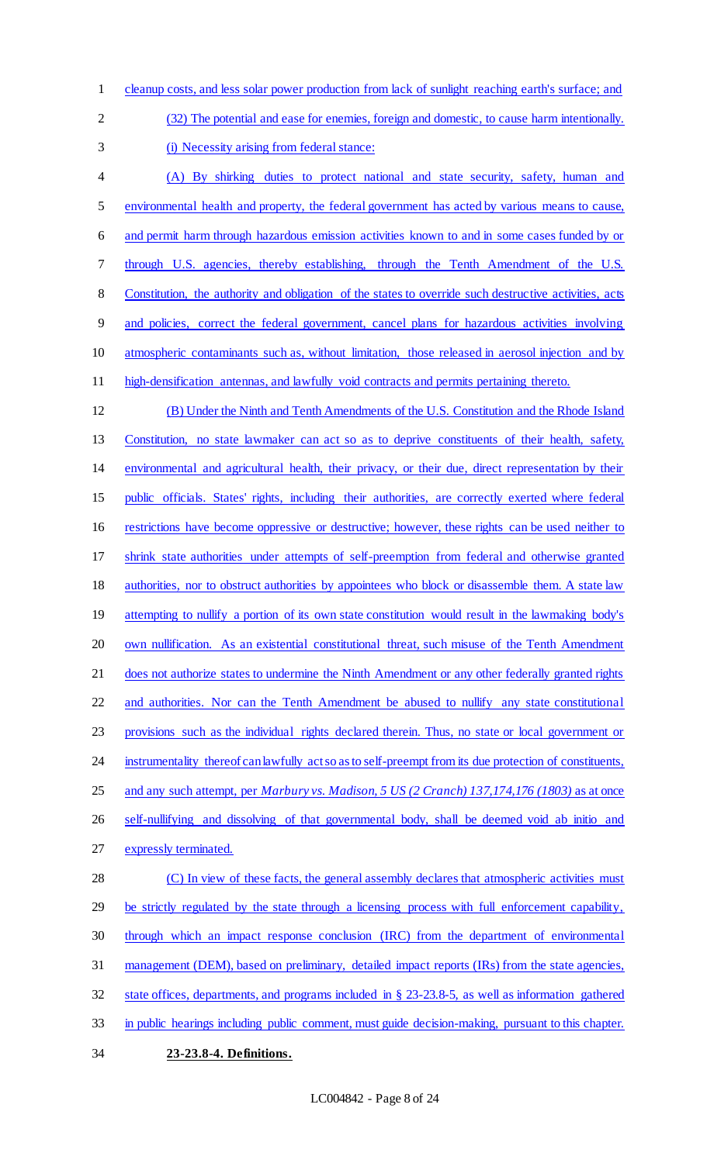cleanup costs, and less solar power production from lack of sunlight reaching earth's surface; and (32) The potential and ease for enemies, foreign and domestic, to cause harm intentionally.

(i) Necessity arising from federal stance:

 (A) By shirking duties to protect national and state security, safety, human and environmental health and property, the federal government has acted by various means to cause, and permit harm through hazardous emission activities known to and in some cases funded by or 7 through U.S. agencies, thereby establishing, through the Tenth Amendment of the U.S. Constitution, the authority and obligation of the states to override such destructive activities, acts and policies, correct the federal government, cancel plans for hazardous activities involving atmospheric contaminants such as, without limitation, those released in aerosol injection and by high-densification antennas, and lawfully void contracts and permits pertaining thereto.

 (B) Under the Ninth and Tenth Amendments of the U.S. Constitution and the Rhode Island Constitution, no state lawmaker can act so as to deprive constituents of their health, safety, environmental and agricultural health, their privacy, or their due, direct representation by their public officials. States' rights, including their authorities, are correctly exerted where federal restrictions have become oppressive or destructive; however, these rights can be used neither to shrink state authorities under attempts of self-preemption from federal and otherwise granted 18 authorities, nor to obstruct authorities by appointees who block or disassemble them. A state law 19 attempting to nullify a portion of its own state constitution would result in the lawmaking body's 20 own nullification. As an existential constitutional threat, such misuse of the Tenth Amendment does not authorize states to undermine the Ninth Amendment or any other federally granted rights and authorities. Nor can the Tenth Amendment be abused to nullify any state constitutional provisions such as the individual rights declared therein. Thus, no state or local government or 24 instrumentality thereof can lawfully act so as to self-preempt from its due protection of constituents, and any such attempt, per *Marbury vs. Madison, 5 US (2 Cranch) 137,174,176 (1803)* as at once self-nullifying and dissolving of that governmental body, shall be deemed void ab initio and expressly terminated. 28 (C) In view of these facts, the general assembly declares that atmospheric activities must 29 be strictly regulated by the state through a licensing process with full enforcement capability, through which an impact response conclusion (IRC) from the department of environmental

management (DEM), based on preliminary, detailed impact reports (IRs) from the state agencies,

state offices, departments, and programs included in § 23-23.8-5, as well as information gathered

- in public hearings including public comment, must guide decision-making, pursuant to this chapter.
- 
- **23-23.8-4. Definitions.**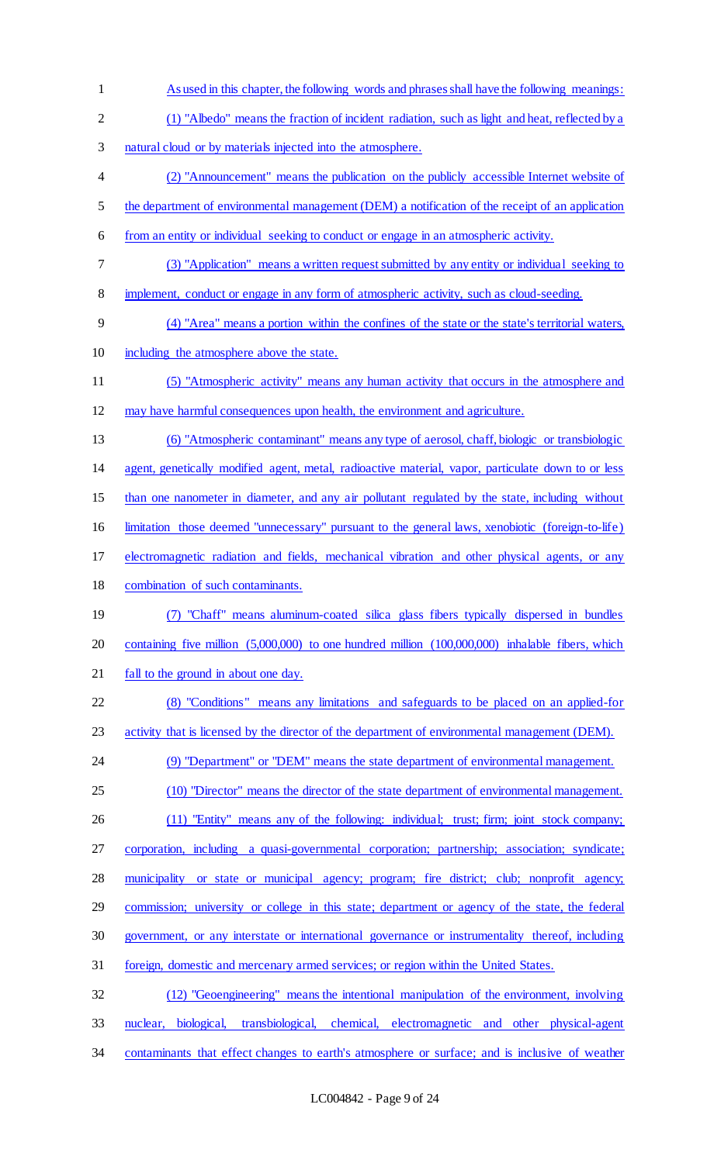As used in this chapter, the following words and phrases shall have the following meanings: (1) "Albedo" means the fraction of incident radiation, such as light and heat, reflected by a natural cloud or by materials injected into the atmosphere. (2) "Announcement" means the publication on the publicly accessible Internet website of the department of environmental management (DEM) a notification of the receipt of an application from an entity or individual seeking to conduct or engage in an atmospheric activity. (3) "Application" means a written request submitted by any entity or individual seeking to implement, conduct or engage in any form of atmospheric activity, such as cloud-seeding. (4) "Area" means a portion within the confines of the state or the state's territorial waters, including the atmosphere above the state. (5) "Atmospheric activity" means any human activity that occurs in the atmosphere and may have harmful consequences upon health, the environment and agriculture. (6) "Atmospheric contaminant" means any type of aerosol, chaff, biologic or transbiologic agent, genetically modified agent, metal, radioactive material, vapor, particulate down to or less than one nanometer in diameter, and any air pollutant regulated by the state, including without limitation those deemed "unnecessary" pursuant to the general laws, xenobiotic (foreign-to-life) electromagnetic radiation and fields, mechanical vibration and other physical agents, or any combination of such contaminants. (7) "Chaff" means aluminum-coated silica glass fibers typically dispersed in bundles containing five million (5,000,000) to one hundred million (100,000,000) inhalable fibers, which 21 fall to the ground in about one day. (8) "Conditions" means any limitations and safeguards to be placed on an applied-for 23 activity that is licensed by the director of the department of environmental management (DEM). 24 (9) "Department" or "DEM" means the state department of environmental management. (10) "Director" means the director of the state department of environmental management. 26 (11) "Entity" means any of the following: individual; trust; firm; joint stock company; corporation, including a quasi-governmental corporation; partnership; association; syndicate; municipality or state or municipal agency; program; fire district; club; nonprofit agency; commission; university or college in this state; department or agency of the state, the federal government, or any interstate or international governance or instrumentality thereof, including foreign, domestic and mercenary armed services; or region within the United States. (12) "Geoengineering" means the intentional manipulation of the environment, involving nuclear, biological, transbiological, chemical, electromagnetic and other physical-agent

contaminants that effect changes to earth's atmosphere or surface; and is inclusive of weather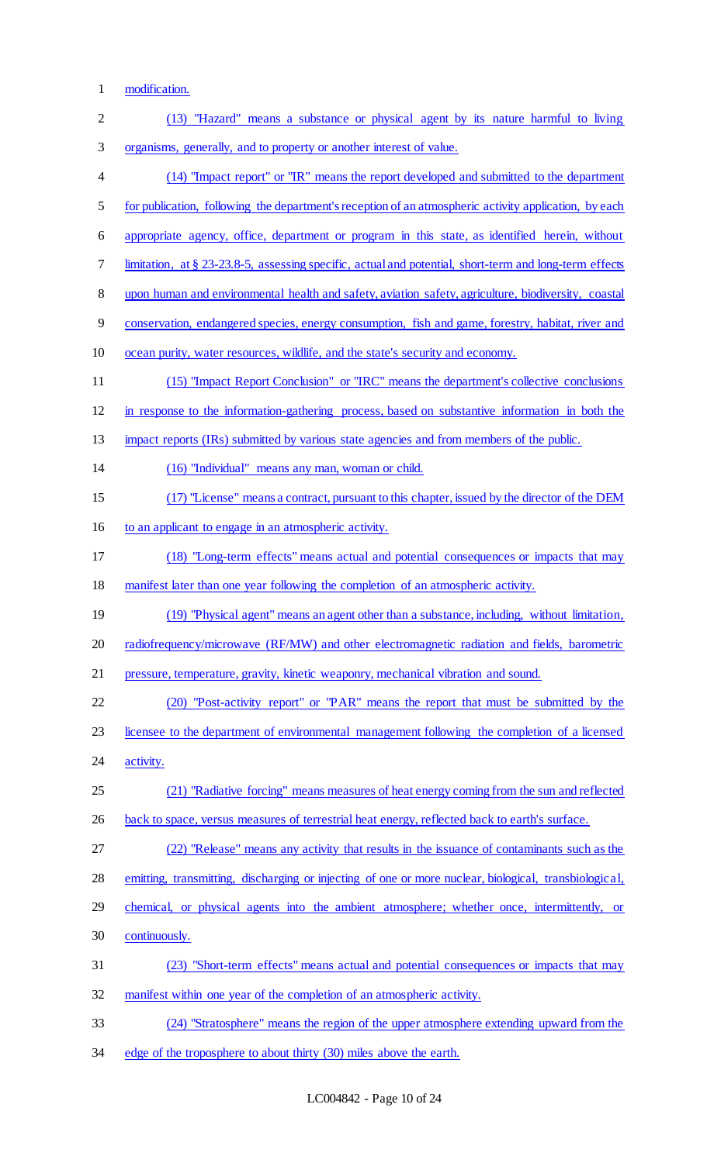1 modification.

| $\overline{2}$ | (13) "Hazard" means a substance or physical agent by its nature harmful to living                      |
|----------------|--------------------------------------------------------------------------------------------------------|
| 3              | organisms, generally, and to property or another interest of value.                                    |
| $\overline{4}$ | (14) "Impact report" or "IR" means the report developed and submitted to the department                |
| 5              | for publication, following the department's reception of an atmospheric activity application, by each  |
| 6              | appropriate agency, office, department or program in this state, as identified herein, without         |
| 7              | limitation, at § 23-23.8-5, assessing specific, actual and potential, short-term and long-term effects |
| $\,8\,$        | upon human and environmental health and safety, aviation safety, agriculture, biodiversity, coastal    |
| $\overline{9}$ | conservation, endangered species, energy consumption, fish and game, forestry, habitat, river and      |
| 10             | ocean purity, water resources, wildlife, and the state's security and economy.                         |
| 11             | (15) "Impact Report Conclusion" or "IRC" means the department's collective conclusions                 |
| 12             | in response to the information-gathering process, based on substantive information in both the         |
| 13             | impact reports (IRs) submitted by various state agencies and from members of the public.               |
| 14             | (16) "Individual" means any man, woman or child.                                                       |
| 15             | (17) "License" means a contract, pursuant to this chapter, issued by the director of the DEM           |
| 16             | to an applicant to engage in an atmospheric activity.                                                  |
| 17             | (18) "Long-term effects" means actual and potential consequences or impacts that may                   |
| 18             | manifest later than one year following the completion of an atmospheric activity.                      |
| 19             | (19) "Physical agent" means an agent other than a substance, including, without limitation,            |
| 20             | radiofrequency/microwave (RF/MW) and other electromagnetic radiation and fields, barometric            |
| 21             | pressure, temperature, gravity, kinetic weaponry, mechanical vibration and sound.                      |
| 22             | (20) "Post-activity report" or "PAR" means the report that must be submitted by the                    |
| 23             | licensee to the department of environmental management following the completion of a licensed          |
| 24             | activity.                                                                                              |
| 25             | (21) "Radiative forcing" means measures of heat energy coming from the sun and reflected               |
| 26             | back to space, versus measures of terrestrial heat energy, reflected back to earth's surface.          |
| 27             | (22) "Release" means any activity that results in the issuance of contaminants such as the             |
| 28             | emitting, transmitting, discharging or injecting of one or more nuclear, biological, transbiological,  |
| 29             | chemical, or physical agents into the ambient atmosphere; whether once, intermittently, or             |
| 30             | continuously.                                                                                          |
| 31             | (23) "Short-term effects" means actual and potential consequences or impacts that may                  |
| 32             | manifest within one year of the completion of an atmospheric activity.                                 |
| 33             | (24) "Stratosphere" means the region of the upper atmosphere extending upward from the                 |
| 34             | edge of the troposphere to about thirty (30) miles above the earth.                                    |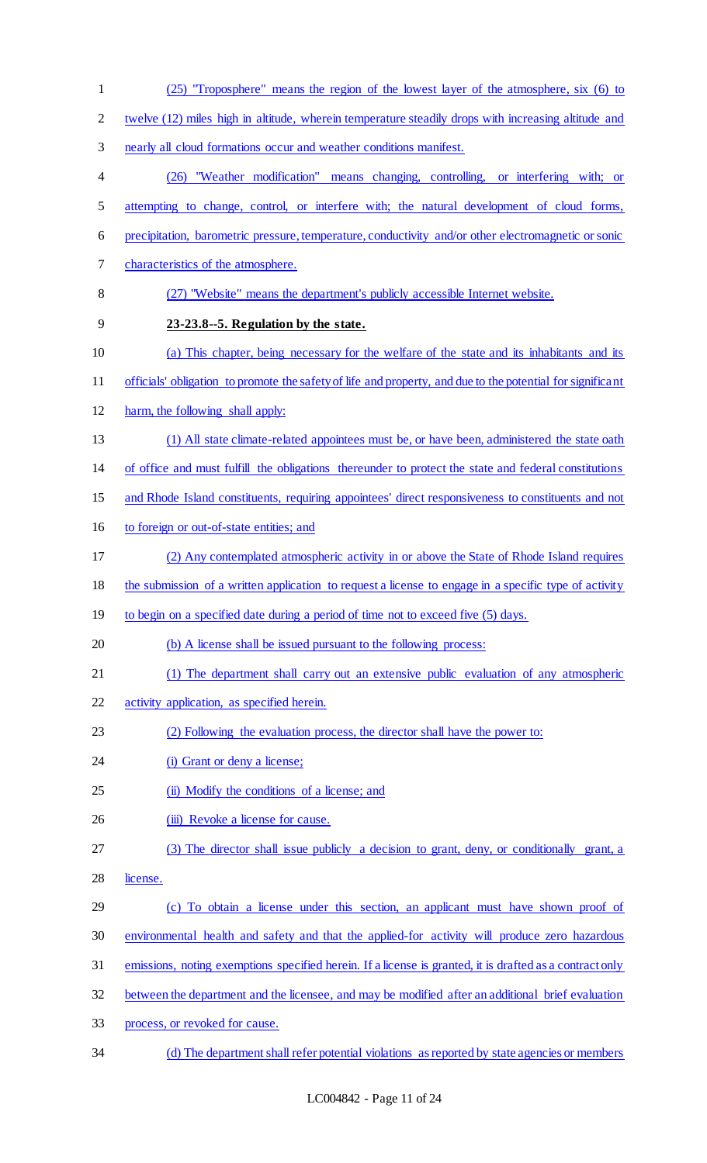(25) "Troposphere" means the region of the lowest layer of the atmosphere, six (6) to twelve (12) miles high in altitude, wherein temperature steadily drops with increasing altitude and nearly all cloud formations occur and weather conditions manifest. (26) "Weather modification" means changing, controlling, or interfering with; or attempting to change, control, or interfere with; the natural development of cloud forms, precipitation, barometric pressure, temperature, conductivity and/or other electromagnetic or sonic characteristics of the atmosphere. (27) "Website" means the department's publicly accessible Internet website. **23-23.8--5. Regulation by the state.** (a) This chapter, being necessary for the welfare of the state and its inhabitants and its officials' obligation to promote the safety of life and property, and due to the potential for significant harm, the following shall apply: (1) All state climate-related appointees must be, or have been, administered the state oath of office and must fulfill the obligations thereunder to protect the state and federal constitutions and Rhode Island constituents, requiring appointees' direct responsiveness to constituents and not to foreign or out-of-state entities; and (2) Any contemplated atmospheric activity in or above the State of Rhode Island requires 18 the submission of a written application to request a license to engage in a specific type of activity 19 to begin on a specified date during a period of time not to exceed five (5) days. (b) A license shall be issued pursuant to the following process: (1) The department shall carry out an extensive public evaluation of any atmospheric activity application, as specified herein. (2) Following the evaluation process, the director shall have the power to: 24 (i) Grant or deny a license; 25 (ii) Modify the conditions of a license; and 26 (iii) Revoke a license for cause. (3) The director shall issue publicly a decision to grant, deny, or conditionally grant, a license. (c) To obtain a license under this section, an applicant must have shown proof of environmental health and safety and that the applied-for activity will produce zero hazardous emissions, noting exemptions specified herein. If a license is granted, it is drafted as a contract only between the department and the licensee, and may be modified after an additional brief evaluation process, or revoked for cause. (d) The department shall refer potential violations as reported by state agencies or members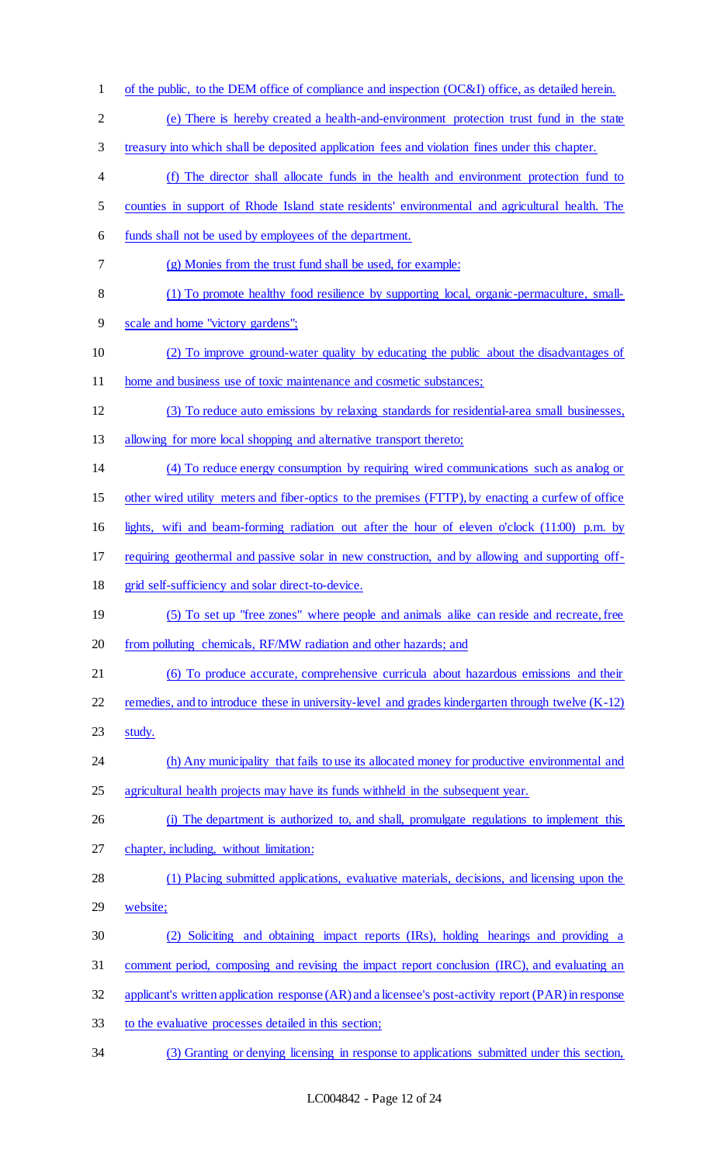of the public, to the DEM office of compliance and inspection (OC&I) office, as detailed herein. (e) There is hereby created a health-and-environment protection trust fund in the state treasury into which shall be deposited application fees and violation fines under this chapter. (f) The director shall allocate funds in the health and environment protection fund to counties in support of Rhode Island state residents' environmental and agricultural health. The funds shall not be used by employees of the department. (g) Monies from the trust fund shall be used, for example: (1) To promote healthy food resilience by supporting local, organic-permaculture, small- scale and home "victory gardens"; (2) To improve ground-water quality by educating the public about the disadvantages of 11 home and business use of <u>toxic maintenance and cosmetic substances;</u> (3) To reduce auto emissions by relaxing standards for residential-area small businesses, 13 allowing for more local shopping and alternative transport thereto; (4) To reduce energy consumption by requiring wired communications such as analog or other wired utility meters and fiber-optics to the premises (FTTP), by enacting a curfew of office lights, wifi and beam-forming radiation out after the hour of eleven o'clock (11:00) p.m. by requiring geothermal and passive solar in new construction, and by allowing and supporting off- grid self-sufficiency and solar direct-to-device. (5) To set up "free zones" where people and animals alike can reside and recreate, free from polluting chemicals, RF/MW radiation and other hazards; and (6) To produce accurate, comprehensive curricula about hazardous emissions and their 22 remedies, and to introduce these in university-level and grades kindergarten through twelve (K-12) study. 24 (h) Any municipality that fails to use its allocated money for productive environmental and 25 agricultural health projects may have its funds withheld in the subsequent year. 26 (i) The department is authorized to, and shall, promulgate regulations to implement this chapter, including, without limitation: (1) Placing submitted applications, evaluative materials, decisions, and licensing upon the website; (2) Soliciting and obtaining impact reports (IRs), holding hearings and providing a comment period, composing and revising the impact report conclusion (IRC), and evaluating an applicant's written application response (AR) and a licensee's post-activity report (PAR) in response to the evaluative processes detailed in this section; (3) Granting or denying licensing in response to applications submitted under this section,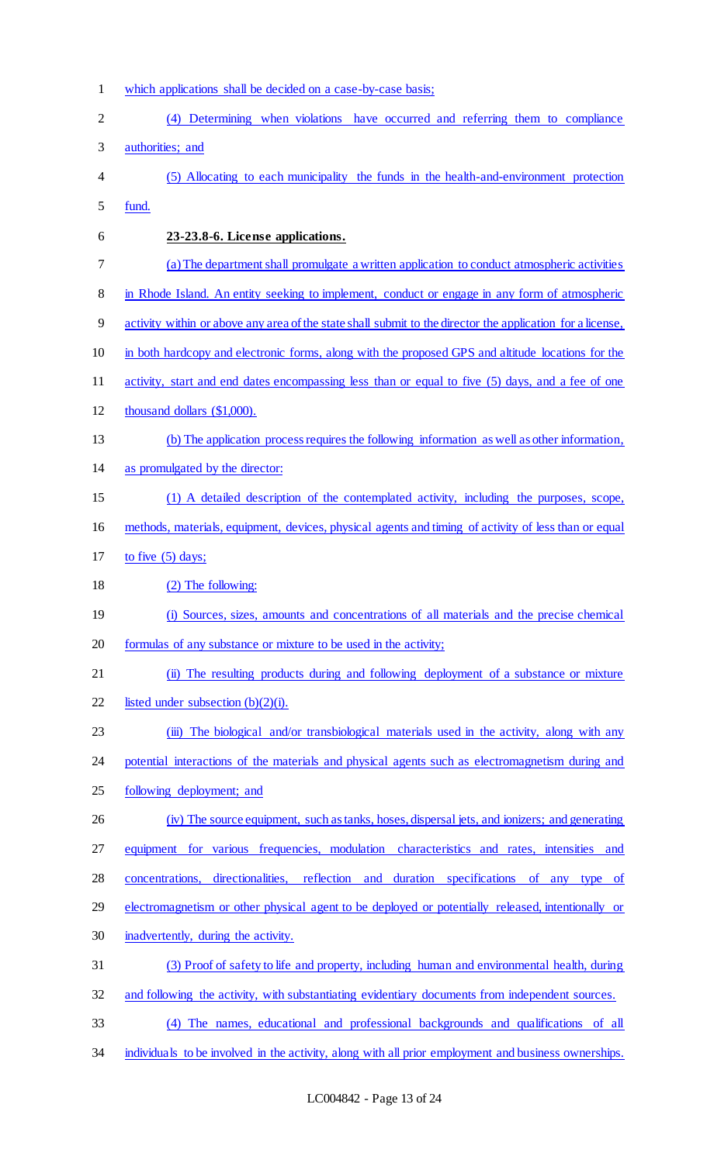- which applications shall be decided on a case-by-case basis;
- (4) Determining when violations have occurred and referring them to compliance authorities; and
- (5) Allocating to each municipality the funds in the health-and-environment protection
- fund.

## **23-23.8-6. License applications.**

- (a) The department shall promulgate a written application to conduct atmospheric activities
- 8 in Rhode Island. An entity seeking to implement, conduct or engage in any form of atmospheric
- activity within or above any area of the state shall submit to the director the application for a license,
- in both hardcopy and electronic forms, along with the proposed GPS and altitude locations for the
- activity, start and end dates encompassing less than or equal to five (5) days, and a fee of one
- thousand dollars (\$1,000).
- (b) The application process requires the following information as well as other information,
- as promulgated by the director:
- (1) A detailed description of the contemplated activity, including the purposes, scope,
- methods, materials, equipment, devices, physical agents and timing of activity of less than or equal
- to five (5) days;
- (2) The following:
- (i) Sources, sizes, amounts and concentrations of all materials and the precise chemical
- formulas of any substance or mixture to be used in the activity;
- 21 (ii) The resulting products during and following deployment of a substance or mixture
- 22 listed under subsection  $(b)(2)(i)$ .
- 23 (iii) The biological and/or transbiological materials used in the activity, along with any
- potential interactions of the materials and physical agents such as electromagnetism during and
- following deployment; and
- (iv) The source equipment, such as tanks, hoses, dispersal jets, and ionizers; and generating
- 27 equipment for various frequencies, modulation characteristics and rates, intensities and
- concentrations, directionalities, reflection and duration specifications of any type of
- 29 electromagnetism or other physical agent to be deployed or potentially released, intentionally or
- inadvertently, during the activity.
- (3) Proof of safety to life and property, including human and environmental health, during
- and following the activity, with substantiating evidentiary documents from independent sources.
- (4) The names, educational and professional backgrounds and qualifications of all
- 34 individuals to be involved in the activity, along with all prior employment and business ownerships.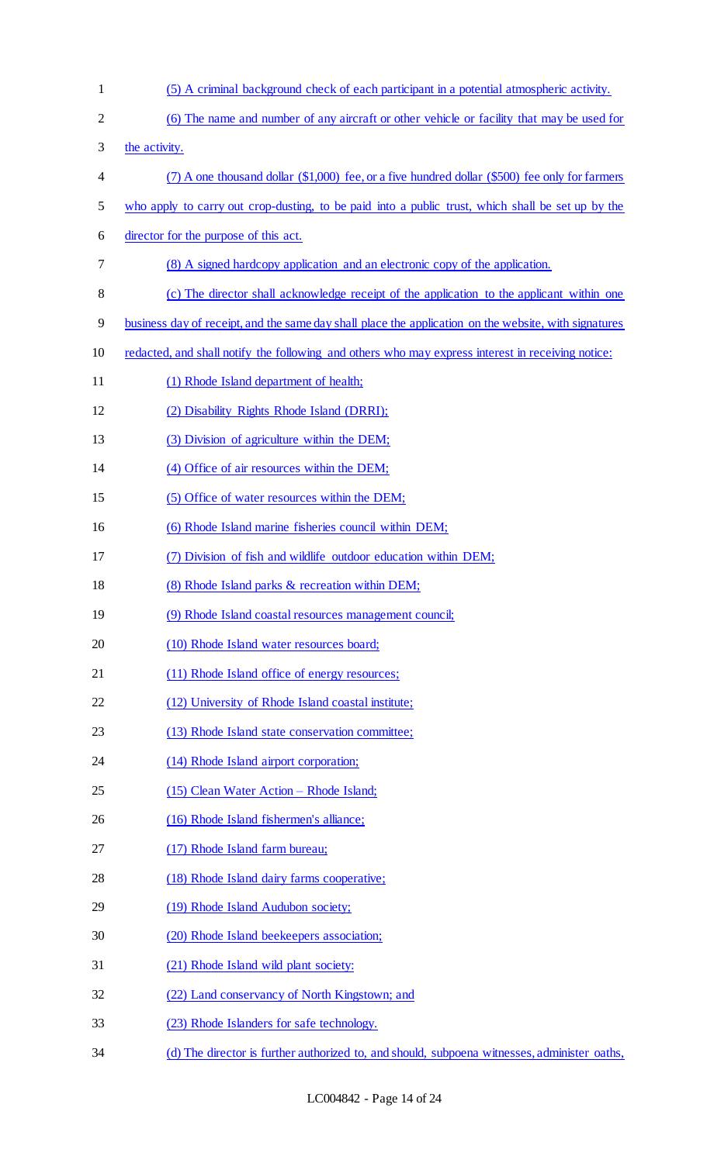| $\mathbf{1}$   | (5) A criminal background check of each participant in a potential atmospheric activity.              |
|----------------|-------------------------------------------------------------------------------------------------------|
| $\overline{2}$ | (6) The name and number of any aircraft or other vehicle or facility that may be used for             |
| 3              | the activity.                                                                                         |
| 4              | $(7)$ A one thousand dollar $(\$1,000)$ fee, or a five hundred dollar $(\$500)$ fee only for farmers  |
| 5              | who apply to carry out crop-dusting, to be paid into a public trust, which shall be set up by the     |
| 6              | director for the purpose of this act.                                                                 |
| 7              | (8) A signed hardcopy application and an electronic copy of the application.                          |
| 8              | (c) The director shall acknowledge receipt of the application to the applicant within one             |
| 9              | business day of receipt, and the same day shall place the application on the website, with signatures |
| 10             | redacted, and shall notify the following and others who may express interest in receiving notice:     |
| 11             | (1) Rhode Island department of health;                                                                |
| 12             | (2) Disability Rights Rhode Island (DRRI);                                                            |
| 13             | (3) Division of agriculture within the DEM;                                                           |
| 14             | (4) Office of air resources within the DEM;                                                           |
| 15             | (5) Office of water resources within the DEM;                                                         |
| 16             | (6) Rhode Island marine fisheries council within DEM;                                                 |
| 17             | (7) Division of fish and wildlife outdoor education within DEM;                                       |
| 18             | (8) Rhode Island parks & recreation within DEM;                                                       |
| 19             | (9) Rhode Island coastal resources management council;                                                |
| 20             | (10) Rhode Island water resources board;                                                              |
| 21             | (11) Rhode Island office of energy resources;                                                         |
| 22             | (12) University of Rhode Island coastal institute;                                                    |
| 23             | (13) Rhode Island state conservation committee;                                                       |
| 24             | (14) Rhode Island airport corporation;                                                                |
| 25             | (15) Clean Water Action - Rhode Island;                                                               |
| 26             | (16) Rhode Island fishermen's alliance;                                                               |
| 27             | (17) Rhode Island farm bureau;                                                                        |
| 28             | (18) Rhode Island dairy farms cooperative;                                                            |
| 29             | (19) Rhode Island Audubon society;                                                                    |
| 30             | (20) Rhode Island beekeepers association;                                                             |
| 31             | (21) Rhode Island wild plant society:                                                                 |
| 32             | (22) Land conservancy of North Kingstown; and                                                         |
| 33             | (23) Rhode Islanders for safe technology.                                                             |
| 34             | (d) The director is further authorized to, and should, subpoena witnesses, administer oaths,          |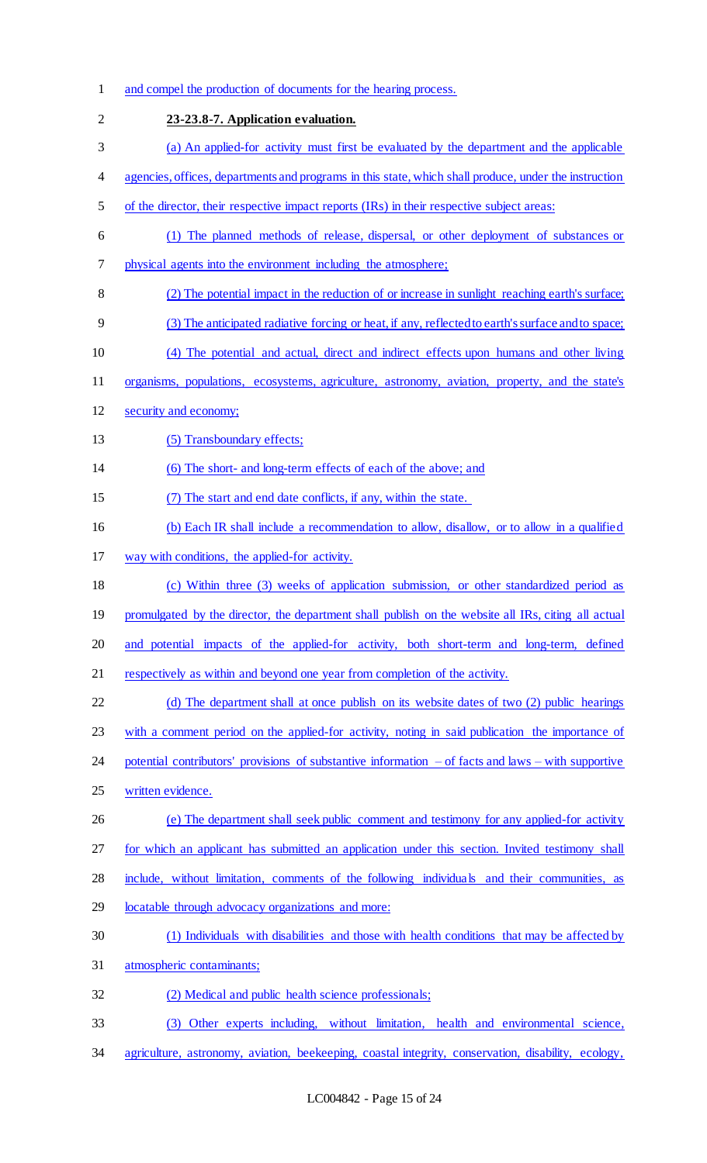| $\mathbf{1}$   | and compel the production of documents for the hearing process.                                         |
|----------------|---------------------------------------------------------------------------------------------------------|
| $\overline{2}$ | 23-23.8-7. Application evaluation.                                                                      |
| 3              | (a) An applied-for activity must first be evaluated by the department and the applicable                |
| 4              | agencies, offices, departments and programs in this state, which shall produce, under the instruction   |
| 5              | of the director, their respective impact reports (IRs) in their respective subject areas:               |
| 6              | (1) The planned methods of release, dispersal, or other deployment of substances or                     |
| 7              | physical agents into the environment including the atmosphere;                                          |
| 8              | (2) The potential impact in the reduction of or increase in sunlight reaching earth's surface;          |
| 9              | (3) The anticipated radiative forcing or heat, if any, reflected to earth's surface and to space;       |
| 10             | (4) The potential and actual, direct and indirect effects upon humans and other living                  |
| 11             | organisms, populations, ecosystems, agriculture, astronomy, aviation, property, and the state's         |
| 12             | security and economy;                                                                                   |
| 13             | (5) Transboundary effects;                                                                              |
| 14             | (6) The short- and long-term effects of each of the above; and                                          |
| 15             | (7) The start and end date conflicts, if any, within the state.                                         |
| 16             | (b) Each IR shall include a recommendation to allow, disallow, or to allow in a qualified               |
| 17             | way with conditions, the applied-for activity.                                                          |
| 18             | (c) Within three (3) weeks of application submission, or other standardized period as                   |
| 19             | promulgated by the director, the department shall publish on the website all IRs, citing all actual     |
| 20             | and potential impacts of the applied-for activity, both short-term and long-term, defined               |
| 21             | respectively as within and beyond one year from completion of the activity.                             |
| 22             | (d) The department shall at once publish on its website dates of two (2) public hearings                |
| 23             | with a comment period on the applied-for activity, noting in said publication the importance of         |
| 24             | potential contributors' provisions of substantive information $-$ of facts and laws $-$ with supportive |
| 25             | written evidence.                                                                                       |
| 26             | (e) The department shall seek public comment and testimony for any applied-for activity                 |
| 27             | for which an applicant has submitted an application under this section. Invited testimony shall         |
| 28             | include, without limitation, comments of the following individuals and their communities, as            |
| 29             | locatable through advocacy organizations and more:                                                      |
| 30             | (1) Individuals with disabilities and those with health conditions that may be affected by              |
| 31             | atmospheric contaminants;                                                                               |
| 32             | (2) Medical and public health science professionals;                                                    |
| 33             | (3) Other experts including, without limitation, health and environmental science,                      |

agriculture, astronomy, aviation, beekeeping, coastal integrity, conservation, disability, ecology,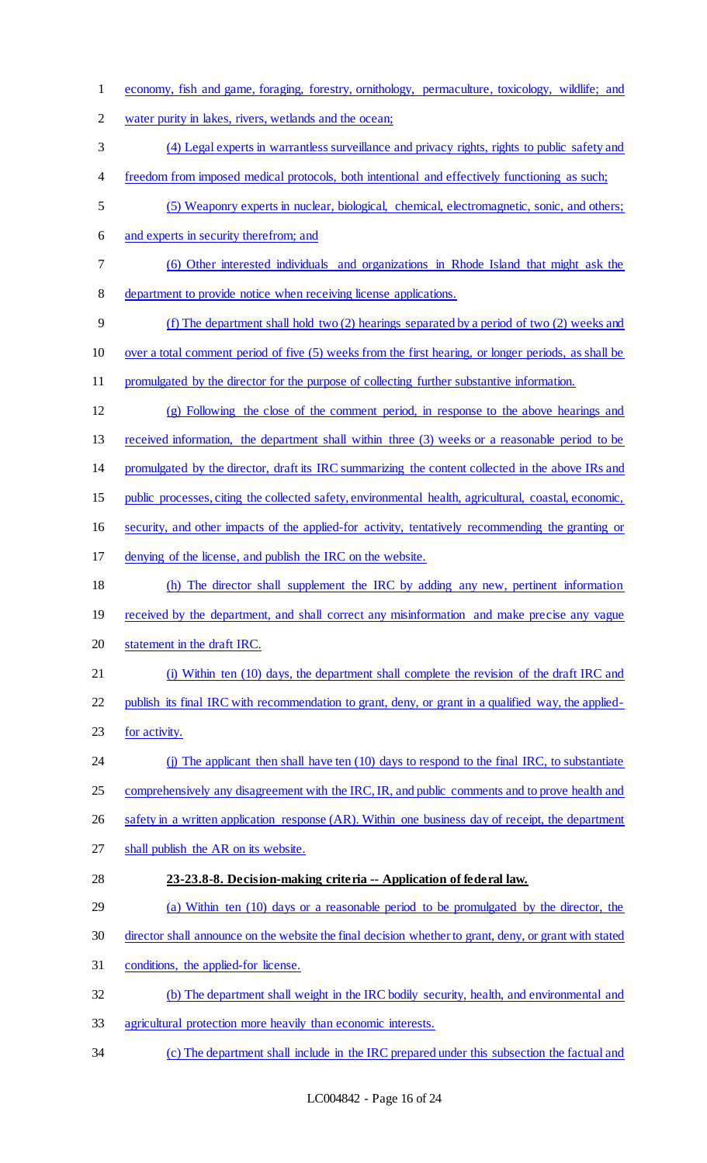- economy, fish and game, foraging, forestry, ornithology, permaculture, toxicology, wildlife; and water purity in lakes, rivers, wetlands and the ocean; (4) Legal experts in warrantless surveillance and privacy rights, rights to public safety and 4 freedom from imposed medical protocols, both intentional and effectively functioning as such; (5) Weaponry experts in nuclear, biological, chemical, electromagnetic, sonic, and others; and experts in security therefrom; and (6) Other interested individuals and organizations in Rhode Island that might ask the department to provide notice when receiving license applications. (f) The department shall hold two (2) hearings separated by a period of two (2) weeks and over a total comment period of five (5) weeks from the first hearing, or longer periods, as shall be promulgated by the director for the purpose of collecting further substantive information. (g) Following the close of the comment period, in response to the above hearings and received information, the department shall within three (3) weeks or a reasonable period to be promulgated by the director, draft its IRC summarizing the content collected in the above IRs and public processes, citing the collected safety, environmental health, agricultural, coastal, economic, security, and other impacts of the applied-for activity, tentatively recommending the granting or denying of the license, and publish the IRC on the website. (h) The director shall supplement the IRC by adding any new, pertinent information 19 received by the department, and shall correct any misinformation and make precise any vague statement in the draft IRC. (i) Within ten (10) days, the department shall complete the revision of the draft IRC and publish its final IRC with recommendation to grant, deny, or grant in a qualified way, the applied-23 for activity. (j) The applicant then shall have ten (10) days to respond to the final IRC, to substantiate 25 comprehensively any disagreement with the IRC, IR, and public comments and to prove health and 26 safety in a written application response (AR). Within one business day of receipt, the department shall publish the AR on its website. **23-23.8-8. Decision-making criteria -- Application of federal law.** (a) Within ten (10) days or a reasonable period to be promulgated by the director, the director shall announce on the website the final decision whether to grant, deny, or grant with stated conditions, the applied-for license. (b) The department shall weight in the IRC bodily security, health, and environmental and agricultural protection more heavily than economic interests.
- (c) The department shall include in the IRC prepared under this subsection the factual and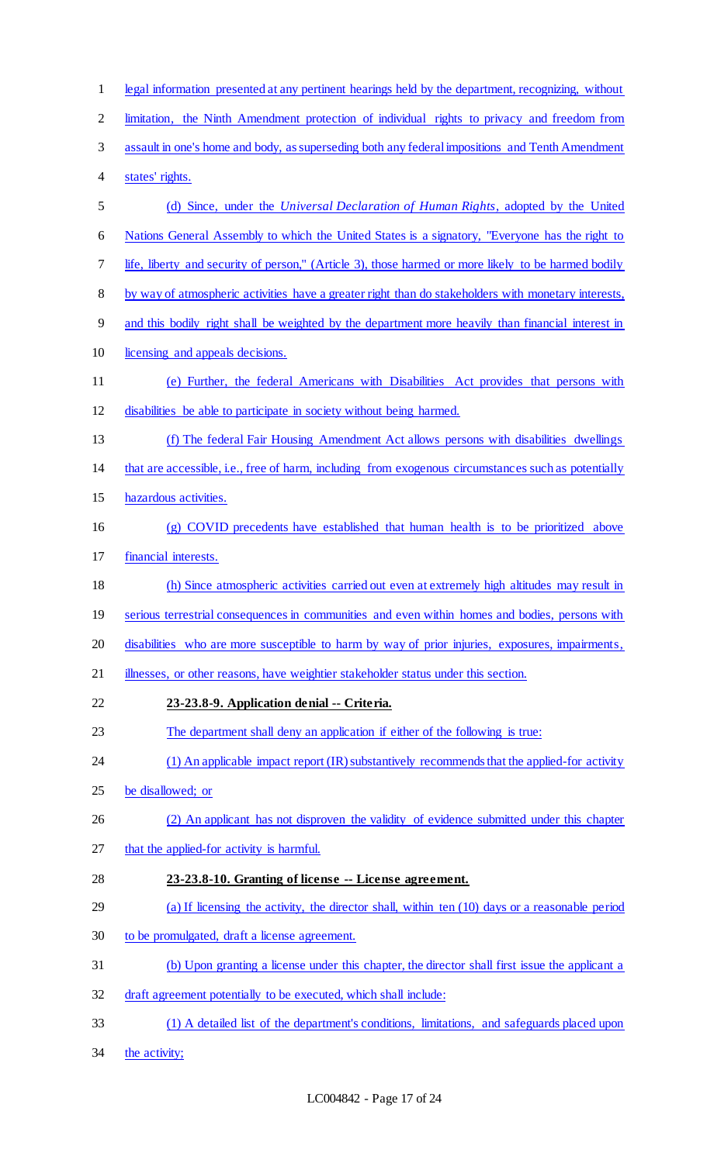| $\mathbf 1$    | legal information presented at any pertinent hearings held by the department, recognizing, without  |
|----------------|-----------------------------------------------------------------------------------------------------|
| $\overline{2}$ | limitation, the Ninth Amendment protection of individual rights to privacy and freedom from         |
| 3              | assault in one's home and body, as superseding both any federal impositions and Tenth Amendment     |
| 4              | states' rights.                                                                                     |
| 5              | (d) Since, under the <i>Universal Declaration of Human Rights</i> , adopted by the United           |
| 6              | Nations General Assembly to which the United States is a signatory, "Everyone has the right to      |
| 7              | life, liberty and security of person," (Article 3), those harmed or more likely to be harmed bodily |
| $8\phantom{1}$ | by way of atmospheric activities have a greater right than do stakeholders with monetary interests, |
| 9              | and this bodily right shall be weighted by the department more heavily than financial interest in   |
| 10             | licensing and appeals decisions.                                                                    |
| 11             | (e) Further, the federal Americans with Disabilities Act provides that persons with                 |
| 12             | disabilities be able to participate in society without being harmed.                                |
| 13             | (f) The federal Fair Housing Amendment Act allows persons with disabilities dwellings               |
| 14             | that are accessible, i.e., free of harm, including from exogenous circumstances such as potentially |
| 15             | hazardous activities.                                                                               |
| 16             | (g) COVID precedents have established that human health is to be prioritized above                  |
| 17             | financial interests.                                                                                |
| 18             | (h) Since atmospheric activities carried out even at extremely high altitudes may result in         |
| 19             | serious terrestrial consequences in communities and even within homes and bodies, persons with      |
| 20             | disabilities who are more susceptible to harm by way of prior injuries, exposures, impairments,     |
| 21             | illnesses, or other reasons, have weightier stakeholder status under this section.                  |
| 22             | 23-23.8-9. Application denial -- Criteria.                                                          |
| 23             | The department shall deny an application if either of the following is true:                        |
| 24             | (1) An applicable impact report (IR) substantively recommends that the applied-for activity         |
| 25             | be disallowed; or                                                                                   |
| 26             | (2) An applicant has not disproven the validity of evidence submitted under this chapter            |
| 27             | that the applied-for activity is harmful.                                                           |
| 28             | 23-23.8-10. Granting of license -- License agreement.                                               |
| 29             | (a) If licensing the activity, the director shall, within ten (10) days or a reasonable period      |
| 30             | to be promulgated, draft a license agreement.                                                       |
| 31             | (b) Upon granting a license under this chapter, the director shall first issue the applicant a      |
| 32             | draft agreement potentially to be executed, which shall include:                                    |
| 33             | (1) A detailed list of the department's conditions, limitations, and safeguards placed upon         |
| 34             | the activity;                                                                                       |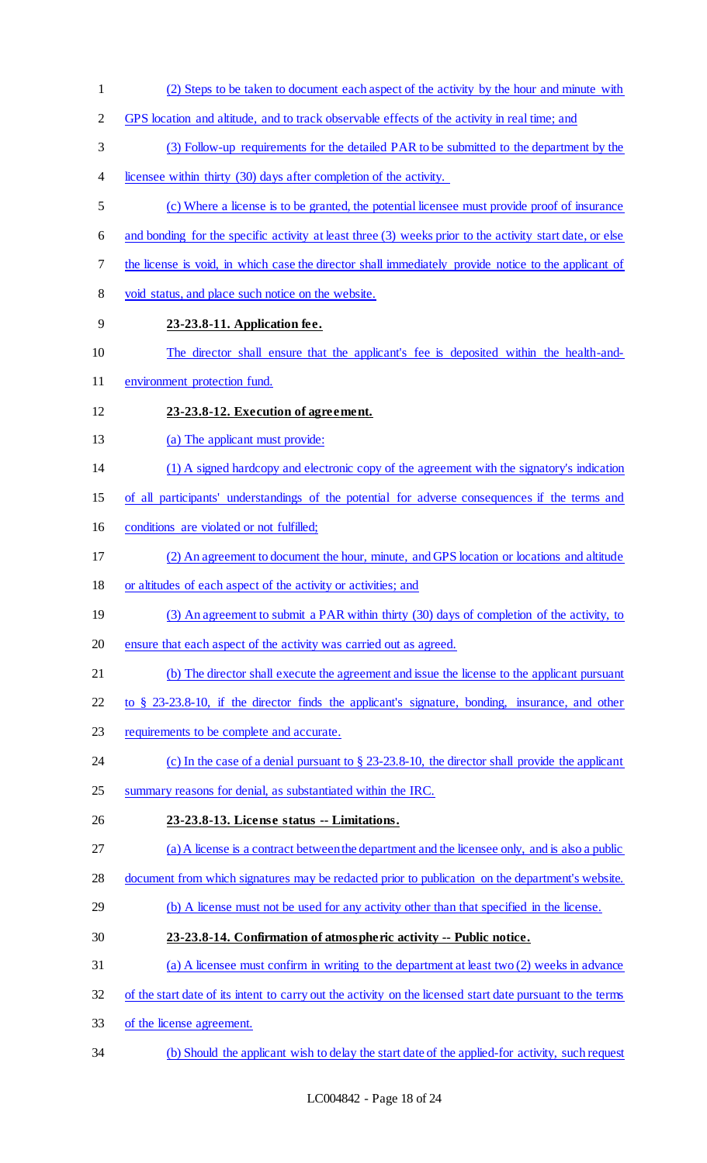(2) Steps to be taken to document each aspect of the activity by the hour and minute with GPS location and altitude, and to track observable effects of the activity in real time; and (3) Follow-up requirements for the detailed PAR to be submitted to the department by the licensee within thirty (30) days after completion of the activity. (c) Where a license is to be granted, the potential licensee must provide proof of insurance and bonding for the specific activity at least three (3) weeks prior to the activity start date, or else the license is void, in which case the director shall immediately provide notice to the applicant of void status, and place such notice on the website. **23-23.8-11. Application fee.** The director shall ensure that the applicant's fee is deposited within the health-and- environment protection fund. **23-23.8-12. Execution of agreement.** 13 (a) The applicant must provide: (1) A signed hardcopy and electronic copy of the agreement with the signatory's indication of all participants' understandings of the potential for adverse consequences if the terms and conditions are violated or not fulfilled; (2) An agreement to document the hour, minute, and GPS location or locations and altitude or altitudes of each aspect of the activity or activities; and 19 (3) An agreement to submit a PAR within thirty (30) days of completion of the activity, to ensure that each aspect of the activity was carried out as agreed. (b) The director shall execute the agreement and issue the license to the applicant pursuant to § 23-23.8-10, if the director finds the applicant's signature, bonding, insurance, and other requirements to be complete and accurate. (c) In the case of a denial pursuant to § 23-23.8-10, the director shall provide the applicant summary reasons for denial, as substantiated within the IRC. **23-23.8-13. License status -- Limitations.**  (a) A license is a contract between the department and the licensee only, and is also a public document from which signatures may be redacted prior to publication on the department's website. (b) A license must not be used for any activity other than that specified in the license. **23-23.8-14. Confirmation of atmospheric activity -- Public notice.** (a) A licensee must confirm in writing to the department at least two (2) weeks in advance of the start date of its intent to carry out the activity on the licensed start date pursuant to the terms of the license agreement. (b) Should the applicant wish to delay the start date of the applied-for activity, such request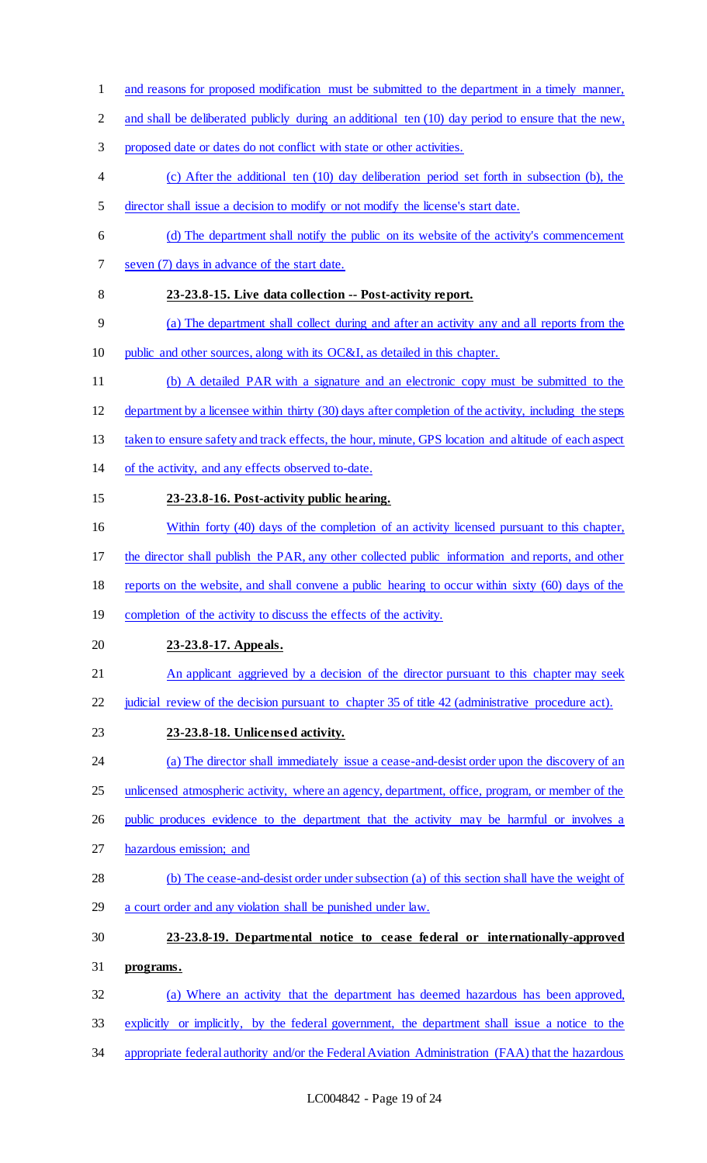- and reasons for proposed modification must be submitted to the department in a timely manner, 2 and shall be deliberated publicly during an additional ten (10) day period to ensure that the new, proposed date or dates do not conflict with state or other activities. (c) After the additional ten (10) day deliberation period set forth in subsection (b), the director shall issue a decision to modify or not modify the license's start date. (d) The department shall notify the public on its website of the activity's commencement seven (7) days in advance of the start date. **23-23.8-15. Live data collection -- Post-activity report.** (a) The department shall collect during and after an activity any and all reports from the public and other sources, along with its OC&I, as detailed in this chapter. (b) A detailed PAR with a signature and an electronic copy must be submitted to the department by a licensee within thirty (30) days after completion of the activity, including the steps 13 taken to ensure safety and track effects, the hour, minute, GPS location and altitude of each aspect of the activity, and any effects observed to-date. **23-23.8-16. Post-activity public hearing.** 16 Within forty (40) days of the completion of an activity licensed pursuant to this chapter, the director shall publish the PAR, any other collected public information and reports, and other reports on the website, and shall convene a public hearing to occur within sixty (60) days of the 19 completion of the activity to discuss the effects of the activity. **23-23.8-17. Appeals.** 21 An applicant aggrieved by a decision of the director pursuant to this chapter may seek judicial review of the decision pursuant to chapter 35 of title 42 (administrative procedure act). **23-23.8-18. Unlicensed activity.** 24 (a) The director shall immediately issue a cease-and-desist order upon the discovery of an 25 unlicensed atmospheric activity, where an agency, department, office, program, or member of the 26 public produces evidence to the department that the activity may be harmful or involves a hazardous emission; and (b) The cease-and-desist order under subsection (a) of this section shall have the weight of a court order and any violation shall be punished under law. **23-23.8-19. Departmental notice to cease federal or internationally-approved programs.** (a) Where an activity that the department has deemed hazardous has been approved, explicitly or implicitly, by the federal government, the department shall issue a notice to the
- appropriate federal authority and/or the Federal Aviation Administration (FAA) that the hazardous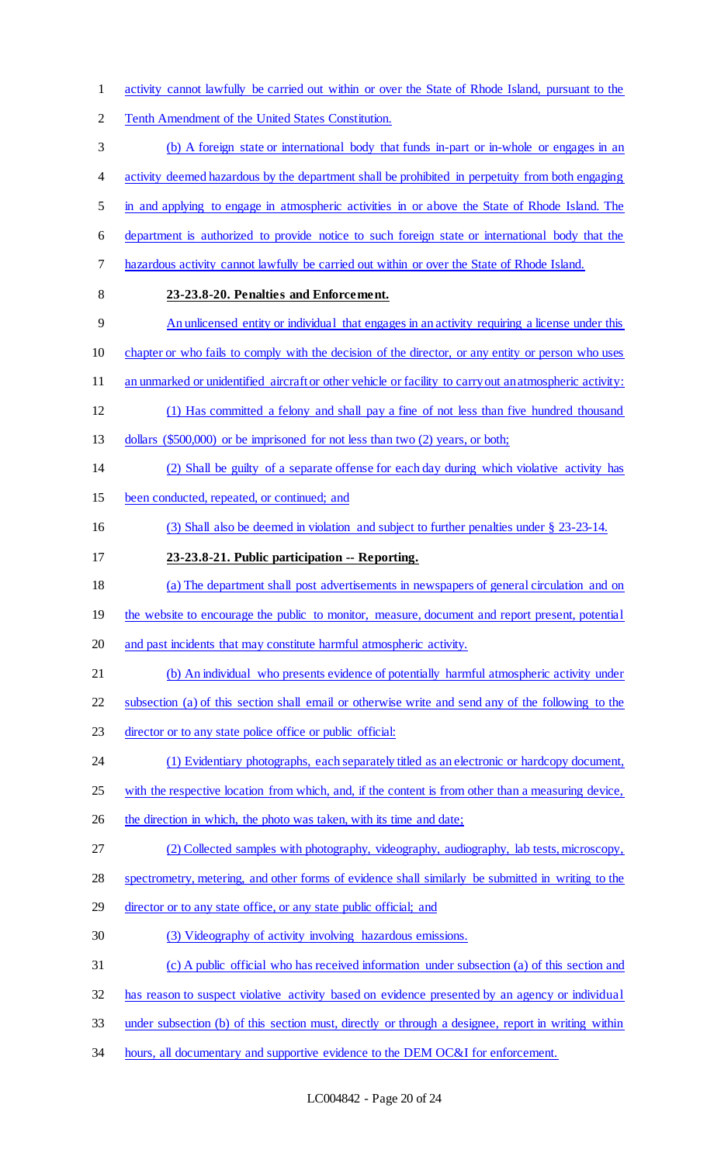- activity cannot lawfully be carried out within or over the State of Rhode Island, pursuant to the Tenth Amendment of the United States Constitution. (b) A foreign state or international body that funds in-part or in-whole or engages in an 4 activity deemed hazardous by the department shall be prohibited in perpetuity from both engaging in and applying to engage in atmospheric activities in or above the State of Rhode Island. The department is authorized to provide notice to such foreign state or international body that the hazardous activity cannot lawfully be carried out within or over the State of Rhode Island. **23-23.8-20. Penalties and Enforcement.** An unlicensed entity or individual that engages in an activity requiring a license under this chapter or who fails to comply with the decision of the director, or any entity or person who uses 11 an unmarked or unidentified aircraft or other vehicle or facility to carry out an atmospheric activity: (1) Has committed a felony and shall pay a fine of not less than five hundred thousand 13 dollars (\$500,000) or be imprisoned for not less than two (2) years, or both; (2) Shall be guilty of a separate offense for each day during which violative activity has been conducted, repeated, or continued; and (3) Shall also be deemed in violation and subject to further penalties under § 23-23-14. **23-23.8-21. Public participation -- Reporting.**  (a) The department shall post advertisements in newspapers of general circulation and on 19 the website to encourage the public to monitor, measure, document and report present, potential and past incidents that may constitute harmful atmospheric activity. (b) An individual who presents evidence of potentially harmful atmospheric activity under subsection (a) of this section shall email or otherwise write and send any of the following to the 23 director or to any state police office or public official: (1) Evidentiary photographs, each separately titled as an electronic or hardcopy document, 25 with the respective location from which, and, if the content is from other than a measuring device, 26 the direction in which, the photo was taken, with its time and date; (2) Collected samples with photography, videography, audiography, lab tests, microscopy, spectrometry, metering, and other forms of evidence shall similarly be submitted in writing to the 29 director or to any state office, or any state public official; and (3) Videography of activity involving hazardous emissions. (c) A public official who has received information under subsection (a) of this section and has reason to suspect violative activity based on evidence presented by an agency or individual under subsection (b) of this section must, directly or through a designee, report in writing within
- 34 hours, all documentary and supportive evidence to the DEM OC&I for enforcement.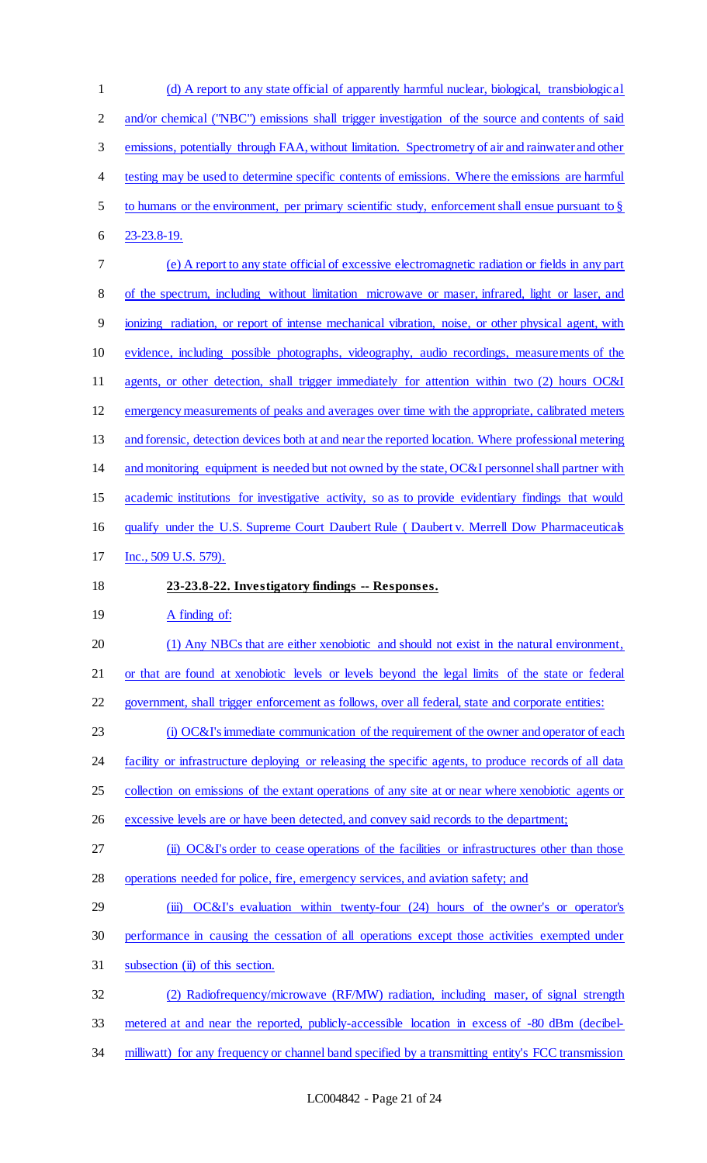| $\mathbf{1}$   | (d) A report to any state official of apparently harmful nuclear, biological, transbiological         |
|----------------|-------------------------------------------------------------------------------------------------------|
| $\overline{2}$ | and/or chemical ("NBC") emissions shall trigger investigation of the source and contents of said      |
| $\mathfrak{Z}$ | emissions, potentially through FAA, without limitation. Spectrometry of air and rainwater and other   |
| 4              | testing may be used to determine specific contents of emissions. Where the emissions are harmful      |
| 5              | to humans or the environment, per primary scientific study, enforcement shall ensue pursuant to $\S$  |
| 6              | 23-23.8-19.                                                                                           |
| 7              | (e) A report to any state official of excessive electromagnetic radiation or fields in any part       |
| $8\,$          | of the spectrum, including without limitation microwave or maser, infrared, light or laser, and       |
| 9              | ionizing radiation, or report of intense mechanical vibration, noise, or other physical agent, with   |
| 10             | evidence, including possible photographs, videography, audio recordings, measurements of the          |
| 11             | agents, or other detection, shall trigger immediately for attention within two (2) hours OC&I         |
| 12             | emergency measurements of peaks and averages over time with the appropriate, calibrated meters        |
| 13             | and forensic, detection devices both at and near the reported location. Where professional metering   |
| 14             | and monitoring equipment is needed but not owned by the state, OC&I personnel shall partner with      |
| 15             | academic institutions for investigative activity, so as to provide evidentiary findings that would    |
| 16             | qualify under the U.S. Supreme Court Daubert Rule (Daubert v. Merrell Dow Pharmaceuticals             |
| 17             | Inc., 509 U.S. 579).                                                                                  |
|                |                                                                                                       |
| 18             | 23-23.8-22. Investigatory findings -- Responses.                                                      |
| 19             | A finding of:                                                                                         |
| 20             | (1) Any NBCs that are either xenobiotic and should not exist in the natural environment,              |
| 21             | or that are found at xenobiotic levels or levels beyond the legal limits of the state or federal      |
| 22             | government, shall trigger enforcement as follows, over all federal, state and corporate entities:     |
| 23             | (i) OC&I's immediate communication of the requirement of the owner and operator of each               |
| 24             | facility or infrastructure deploying or releasing the specific agents, to produce records of all data |
| 25             | collection on emissions of the extant operations of any site at or near where xenobiotic agents or    |
| 26             | excessive levels are or have been detected, and convey said records to the department;                |
| 27             | (ii) OC&I's order to cease operations of the facilities or infrastructures other than those           |
| 28             | operations needed for police, fire, emergency services, and aviation safety; and                      |
| 29             | $OC&I's$ evaluation within twenty-four (24) hours of the owner's or operator's<br>(iii)               |
| 30             | performance in causing the cessation of all operations except those activities exempted under         |
| 31             | subsection (ii) of this section.                                                                      |
| 32             | (2) Radiofrequency/microwave (RF/MW) radiation, including maser, of signal strength                   |
| 33             | metered at and near the reported, publicly-accessible location in excess of -80 dBm (decibel-         |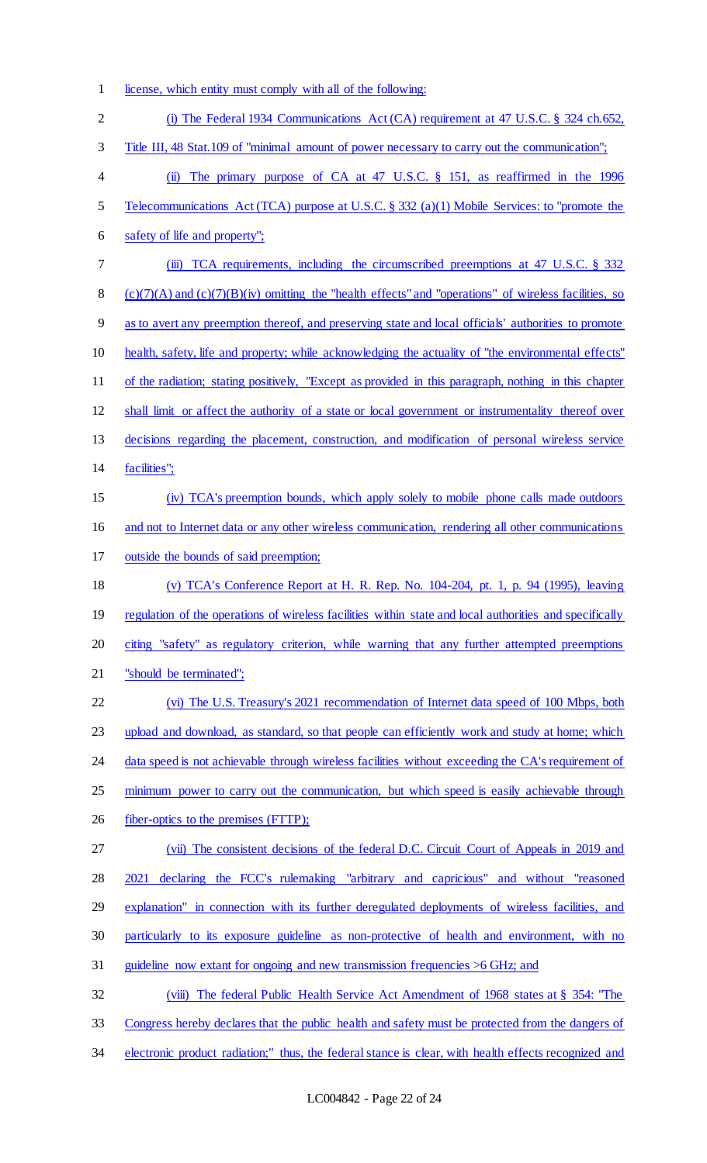1 license, which entity must comply with all of the following:

| $\overline{2}$ | (i) The Federal 1934 Communications Act (CA) requirement at 47 U.S.C. § 324 ch.652,                       |
|----------------|-----------------------------------------------------------------------------------------------------------|
| 3              | Title III, 48 Stat. 109 of "minimal amount of power necessary to carry out the communication";            |
| $\overline{4}$ | The primary purpose of CA at 47 U.S.C. § 151, as reaffirmed in the 1996<br>$\ddot{\mathbf{u}}$            |
| 5              | Telecommunications Act (TCA) purpose at U.S.C. § 332 (a)(1) Mobile Services: to "promote the              |
| 6              | safety of life and property";                                                                             |
| 7              | TCA requirements, including the circumscribed preemptions at 47 U.S.C. § 332<br>(iii)                     |
| $8\,$          | $(c)(7)(A)$ and $(c)(7)(B)(iv)$ omitting the "health effects" and "operations" of wireless facilities, so |
| $\overline{9}$ | as to avert any preemption thereof, and preserving state and local officials' authorities to promote      |
| 10             | health, safety, life and property; while acknowledging the actuality of "the environmental effects"       |
| 11             | of the radiation; stating positively, "Except as provided in this paragraph, nothing in this chapter      |
| 12             | shall limit or affect the authority of a state or local government or instrumentality thereof over        |
| 13             | decisions regarding the placement, construction, and modification of personal wireless service            |
| 14             | facilities";                                                                                              |
| 15             | (iv) TCA's preemption bounds, which apply solely to mobile phone calls made outdoors                      |
| 16             | and not to Internet data or any other wireless communication, rendering all other communications          |
| 17             | outside the bounds of said preemption;                                                                    |
| 18             | (v) TCA's Conference Report at H. R. Rep. No. $104-204$ , pt. 1, p. 94 (1995), leaving                    |
| 19             | regulation of the operations of wireless facilities within state and local authorities and specifically   |
| 20             | citing "safety" as regulatory criterion, while warning that any further attempted preemptions             |
| 21             | "should be terminated";                                                                                   |
| 22             | (vi) The U.S. Treasury's 2021 recommendation of Internet data speed of 100 Mbps, both                     |
| 23             | upload and download, as standard, so that people can efficiently work and study at home; which            |
| 24             | data speed is not achievable through wireless facilities without exceeding the CA's requirement of        |
| 25             | minimum power to carry out the communication, but which speed is easily achievable through                |
| 26             | fiber-optics to the premises (FTTP);                                                                      |
| 27             | (vii) The consistent decisions of the federal D.C. Circuit Court of Appeals in 2019 and                   |
| 28             | declaring the FCC's rulemaking "arbitrary and capricious" and without "reasoned<br>2021                   |
| 29             | explanation" in connection with its further deregulated deployments of wireless facilities, and           |
| 30             | particularly to its exposure guideline as non-protective of health and environment, with no               |
| 31             | guideline now extant for ongoing and new transmission frequencies $>6$ GHz; and                           |
| 32             | The federal Public Health Service Act Amendment of 1968 states at § 354: "The<br>(viii)                   |
| 33             | Congress hereby declares that the public health and safety must be protected from the dangers of          |
| 34             | electronic product radiation;" thus, the federal stance is clear, with health effects recognized and      |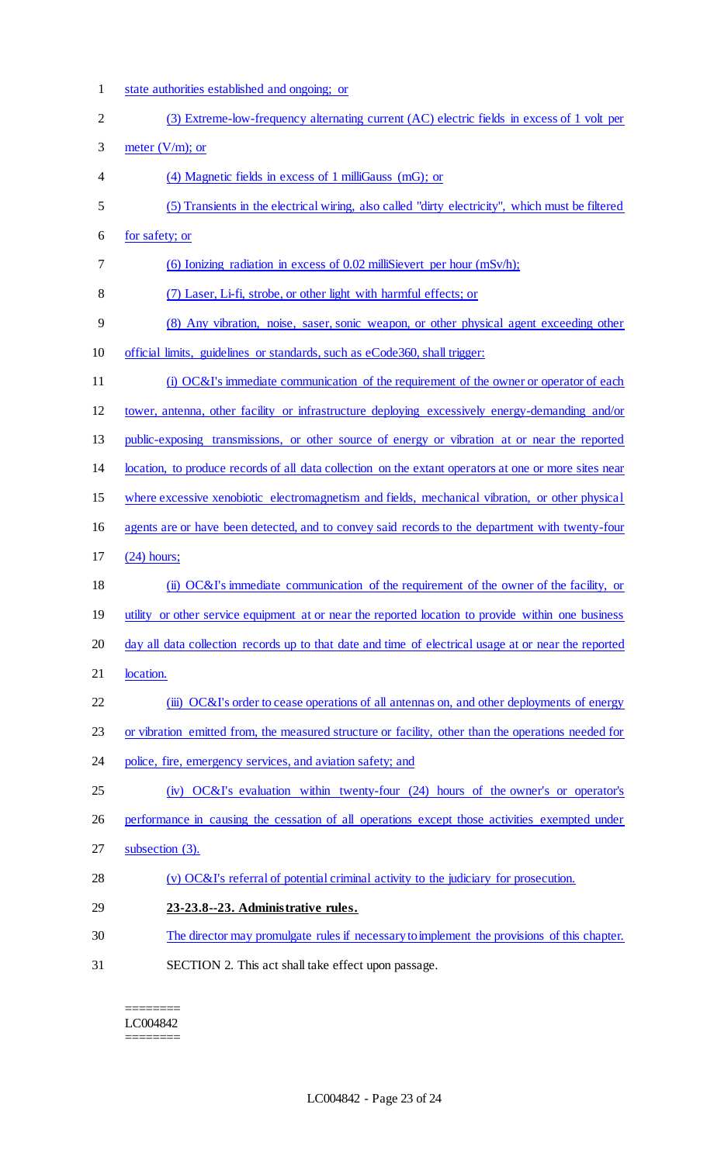state authorities established and ongoing; or (3) Extreme-low-frequency alternating current (AC) electric fields in excess of 1 volt per 3 meter  $(V/m)$ ; or (4) Magnetic fields in excess of 1 milliGauss (mG); or (5) Transients in the electrical wiring, also called "dirty electricity", which must be filtered for safety; or (6) Ionizing radiation in excess of 0.02 milliSievert per hour (mSv/h); (7) Laser, Li-fi, strobe, or other light with harmful effects; or (8) Any vibration, noise, saser, sonic weapon, or other physical agent exceeding other official limits, guidelines or standards, such as eCode360, shall trigger: (i) OC&I's immediate communication of the requirement of the owner or operator of each tower, antenna, other facility or infrastructure deploying excessively energy-demanding and/or public-exposing transmissions, or other source of energy or vibration at or near the reported location, to produce records of all data collection on the extant operators at one or more sites near where excessive xenobiotic electromagnetism and fields, mechanical vibration, or other physical agents are or have been detected, and to convey said records to the department with twenty-four (24) hours; (ii) OC&I's immediate communication of the requirement of the owner of the facility, or 19 utility or other service equipment at or near the reported location to provide within one business 20 day all data collection records up to that date and time of electrical usage at or near the reported 21 location. 22 (iii) OC&I's order to cease operations of all antennas on, and other deployments of energy or vibration emitted from, the measured structure or facility, other than the operations needed for 24 police, fire, emergency services, and aviation safety; and (iv) OC&I's evaluation within twenty-four (24) hours of the owner's or operator's performance in causing the cessation of all operations except those activities exempted under subsection (3). (v) OC&I's referral of potential criminal activity to the judiciary for prosecution. **23-23.8--23. Administrative rules.** The director may promulgate rules if necessary to implement the provisions of this chapter. SECTION 2. This act shall take effect upon passage.

======== LC004842 ========